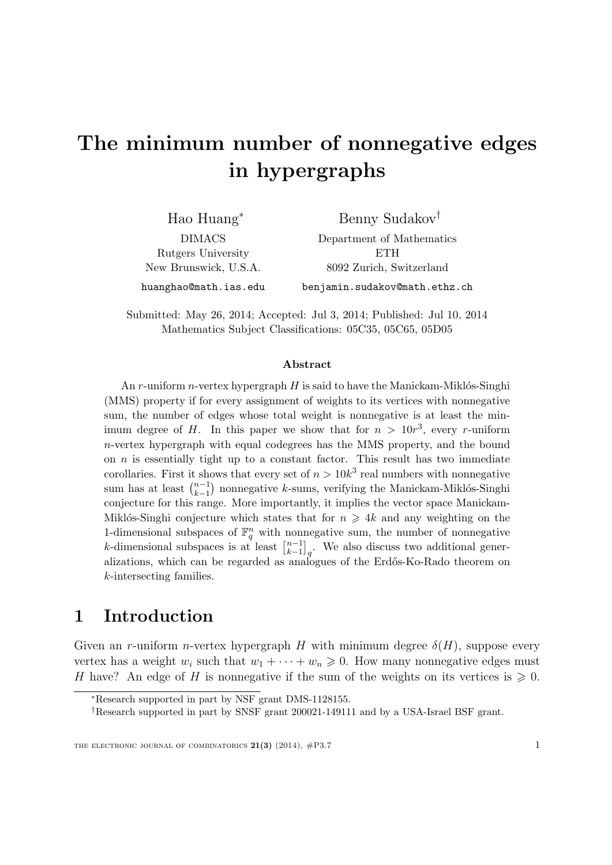# The minimum number of nonnegative edges in hypergraphs

| $Hao Huang^*$         | Benny Sudakov <sup>†</sup>    |
|-----------------------|-------------------------------|
| <b>DIMACS</b>         | Department of Mathematics     |
| Rutgers University    | ETH                           |
| New Brunswick, U.S.A. | 8092 Zurich, Switzerland      |
| huanghao@math.ias.edu | benjamin.sudakov@math.ethz.ch |

Submitted: May 26, 2014; Accepted: Jul 3, 2014; Published: Jul 10, 2014 Mathematics Subject Classifications: 05C35, 05C65, 05D05

#### Abstract

An r-uniform n-vertex hypergraph  $H$  is said to have the Manickam-Miklós-Singhi (MMS) property if for every assignment of weights to its vertices with nonnegative sum, the number of edges whose total weight is nonnegative is at least the minimum degree of H. In this paper we show that for  $n > 10r^3$ , every r-uniform  $n$ -vertex hypergraph with equal codegrees has the MMS property, and the bound on  $n$  is essentially tight up to a constant factor. This result has two immediate corollaries. First it shows that every set of  $n > 10k^3$  real numbers with nonnegative sum has at least  $\binom{n-1}{k-1}$  $_{k-1}^{n-1}$ ) nonnegative k-sums, verifying the Manickam-Miklós-Singhi conjecture for this range. More importantly, it implies the vector space Manickam-Miklós-Singhi conjecture which states that for  $n \geq 4k$  and any weighting on the 1-dimensional subspaces of  $\mathbb{F}_q^n$  with nonnegative sum, the number of nonnegative k-dimensional subspaces is at least  $\begin{bmatrix} n-1 \\ k-1 \end{bmatrix}$  $\binom{n-1}{k-1}_q$ . We also discuss two additional generalizations, which can be regarded as analogues of the Erdős-Ko-Rado theorem on k-intersecting families.

## 1 Introduction

Given an r-uniform n-vertex hypergraph H with minimum degree  $\delta(H)$ , suppose every vertex has a weight  $w_i$  such that  $w_1 + \cdots + w_n \geq 0$ . How many nonnegative edges must H have? An edge of H is nonnegative if the sum of the weights on its vertices is  $\geq 0$ .

<sup>∗</sup>Research supported in part by NSF grant DMS-1128155.

<sup>†</sup>Research supported in part by SNSF grant 200021-149111 and by a USA-Israel BSF grant.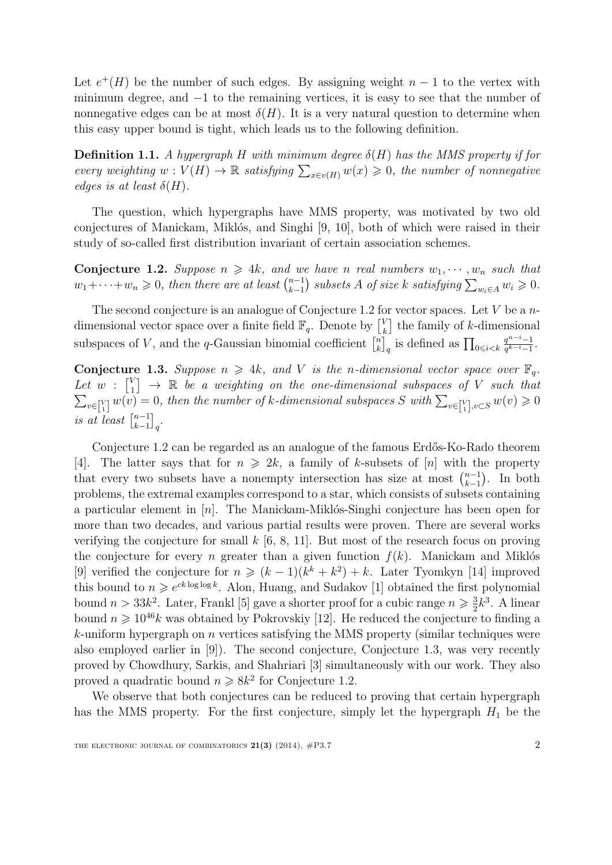Let  $e^+(H)$  be the number of such edges. By assigning weight  $n-1$  to the vertex with minimum degree, and −1 to the remaining vertices, it is easy to see that the number of nonnegative edges can be at most  $\delta(H)$ . It is a very natural question to determine when this easy upper bound is tight, which leads us to the following definition.

**Definition 1.1.** A hypergraph H with minimum degree  $\delta(H)$  has the MMS property if for every weighting  $w: V(H) \to \mathbb{R}$  satisfying  $\sum_{x \in v(H)} w(x) \geq 0$ , the number of nonnegative edges is at least  $\delta(H)$ .

The question, which hypergraphs have MMS property, was motivated by two old conjectures of Manickam, Miklós, and Singhi [\[9,](#page-17-0) [10\]](#page-17-1), both of which were raised in their study of so-called first distribution invariant of certain association schemes.

<span id="page-1-0"></span>**Conjecture 1.2.** Suppose  $n \geq 4k$ , and we have n real numbers  $w_1, \dots, w_n$  such that  $w_1 + \cdots + w_n \geq 0$ , then there are at least  $\binom{n-1}{k-1}$  $_{k-1}^{n-1}$ ) subsets A of size k satisfying  $\sum_{w_i \in A} w_i \geqslant 0$ .

The second conjecture is an analogue of Conjecture [1.2](#page-1-0) for vector spaces. Let  $V$  be a  $n$ dimensional vector space over a finite field  $\mathbb{F}_q$ . Denote by  $\begin{bmatrix} V_k \\ V_l \end{bmatrix}$  $\binom{V}{k}$  the family of k-dimensional subspaces of V, and the q-Gaussian binomial coefficient  $\begin{bmatrix} n \\ k \end{bmatrix}$  $\binom{n}{k}_q$  is defined as  $\prod_{0 \leq i \leq k} \frac{q^{n-i}-1}{q^{k-i}-1}$  $\frac{q^{n-i}-1}{q^{k-i}-1}$ .

<span id="page-1-1"></span>**Conjecture 1.3.** Suppose  $n \geq 4k$ , and V is the n-dimensional vector space over  $\mathbb{F}_q$ . Let  $w : \begin{bmatrix} V \\ 1 \end{bmatrix}$  $\begin{array}{c} \mathbb{N}_1 \ 1 \end{array} \rightarrow \ \mathbb{R} \ \ \textit{be a weighting on the one-dimensional subspaces of $V$ such that}$  $\sum_{v\in\binom{V}{1}} w(v) = 0$ , then the number of k-dimensional subspaces S with  $\sum_{v\in\binom{V}{1}, v\subset S} w(v) \geq 0$ is at least  $\begin{bmatrix} n-1 \\ k-1 \end{bmatrix}$  $_{k-1}^{n-1}$ <sub>q</sub>.

Conjecture [1.2](#page-1-0) can be regarded as an analogue of the famous Erdős-Ko-Rado theorem [\[4\]](#page-16-0). The latter says that for  $n \geq 2k$ , a family of k-subsets of [n] with the property that every two subsets have a nonempty intersection has size at most  $\binom{n-1}{k-1}$  $_{k-1}^{n-1}$ ). In both problems, the extremal examples correspond to a star, which consists of subsets containing a particular element in  $[n]$ . The Manickam-Miklós-Singhi conjecture has been open for more than two decades, and various partial results were proven. There are several works verifying the conjecture for small  $k$  [\[6,](#page-17-2) [8,](#page-17-3) [11\]](#page-17-4). But most of the research focus on proving the conjecture for every *n* greater than a given function  $f(k)$ . Manickam and Miklós [\[9\]](#page-17-0) verified the conjecture for  $n \geq (k-1)(k^k + k^2) + k$ . Later Tyomkyn [\[14\]](#page-17-5) improved this bound to  $n \geqslant e^{ck \log \log k}$ . Alon, Huang, and Sudakov [\[1\]](#page-16-1) obtained the first polynomial bound  $n > 33k^2$ . Later, Frankl [\[5\]](#page-16-2) gave a shorter proof for a cubic range  $n \geq \frac{3}{2}$  $\frac{3}{2}k^3$ . A linear bound  $n \geq 10^{46}k$  was obtained by Pokrovskiy [\[12\]](#page-17-6). He reduced the conjecture to finding a  $k$ -uniform hypergraph on  $n$  vertices satisfying the MMS property (similar techniques were also employed earlier in [\[9\]](#page-17-0)). The second conjecture, Conjecture [1.3,](#page-1-1) was very recently proved by Chowdhury, Sarkis, and Shahriari [\[3\]](#page-16-3) simultaneously with our work. They also proved a quadratic bound  $n \geq 8k^2$  for Conjecture [1.2.](#page-1-0)

We observe that both conjectures can be reduced to proving that certain hypergraph has the MMS property. For the first conjecture, simply let the hypergraph  $H_1$  be the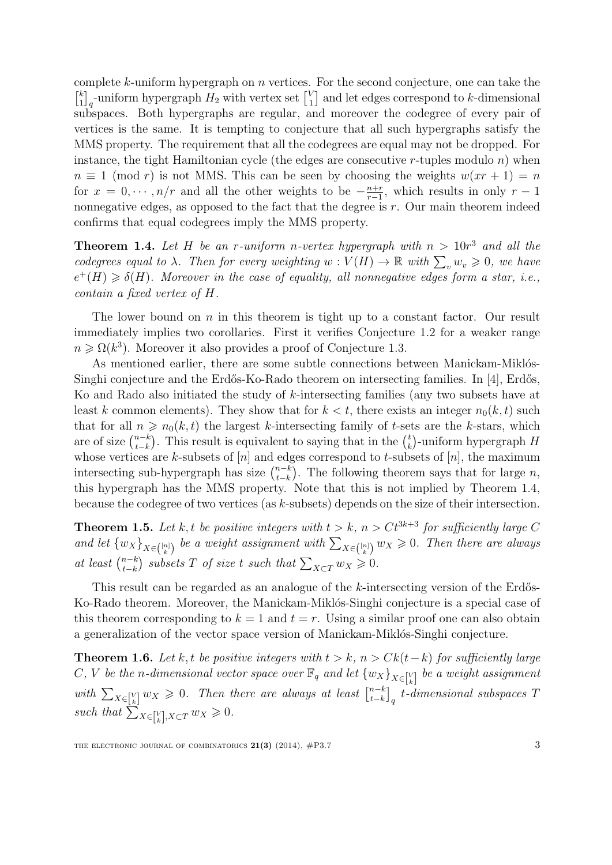complete k-uniform hypergraph on n vertices. For the second conjecture, one can take the  $\begin{bmatrix} k \\ 1 \end{bmatrix}$  $\binom{k}{1}_q$ -uniform hypergraph  $H_2$  with vertex set  $\binom{V_1}{1}_q$  $\binom{V}{1}$  and let edges correspond to k-dimensional subspaces. Both hypergraphs are regular, and moreover the codegree of every pair of vertices is the same. It is tempting to conjecture that all such hypergraphs satisfy the MMS property. The requirement that all the codegrees are equal may not be dropped. For instance, the tight Hamiltonian cycle (the edges are consecutive r-tuples modulo  $n$ ) when  $n \equiv 1 \pmod{r}$  is not MMS. This can be seen by choosing the weights  $w(xr + 1) = n$ for  $x = 0, \dots, n/r$  and all the other weights to be  $-\frac{n+r}{r-1}$  $\frac{n+r}{r-1}$ , which results in only  $r-1$ nonnegative edges, as opposed to the fact that the degree is  $r$ . Our main theorem indeed confirms that equal codegrees imply the MMS property.

<span id="page-2-0"></span>**Theorem 1.4.** Let H be an r-uniform n-vertex hypergraph with  $n > 10r^3$  and all the codegrees equal to  $\lambda$ . Then for every weighting  $w: V(H) \to \mathbb{R}$  with  $\sum_{v} w_v \geq 0$ , we have  $e^+(H) \geq \delta(H)$ . Moreover in the case of equality, all nonnegative edges form a star, i.e., contain a fixed vertex of H.

The lower bound on  $n$  in this theorem is tight up to a constant factor. Our result immediately implies two corollaries. First it verifies Conjecture [1.2](#page-1-0) for a weaker range  $n \geqslant \Omega(k^3)$ . Moreover it also provides a proof of Conjecture [1.3.](#page-1-1)

As mentioned earlier, there are some subtle connections between Manickam-Miklós-Singhi conjecture and the Erdős-Ko-Rado theorem on intersecting families. In [\[4\]](#page-16-0), Erdős, Ko and Rado also initiated the study of k-intersecting families (any two subsets have at least k common elements). They show that for  $k < t$ , there exists an integer  $n_0(k, t)$  such that for all  $n \geq n_0(k, t)$  the largest k-intersecting family of t-sets are the k-stars, which are of size  $\binom{n-k}{t-k}$  $_{t-k}^{n-k}$ ). This result is equivalent to saying that in the  $\binom{t}{k}$  $\binom{t}{k}$ -uniform hypergraph  $H$ whose vertices are k-subsets of  $[n]$  and edges correspond to t-subsets of  $[n]$ , the maximum intersecting sub-hypergraph has size  $\binom{n-k}{k-k}$  $_{t-k}^{n-k}$ ). The following theorem says that for large n, this hypergraph has the MMS property. Note that this is not implied by Theorem [1.4,](#page-2-0) because the codegree of two vertices (as k-subsets) depends on the size of their intersection.

<span id="page-2-1"></span>**Theorem 1.5.** Let k, t be positive integers with  $t > k$ ,  $n > Ct^{3k+3}$  for sufficiently large C and let  $\{w_X\}_{X \in \binom{[n]}{k}}$  be a weight assignment with  $\sum_{X \in \binom{[n]}{k}} w_X \geq 0$ . Then there are always at least  $\binom{n-k}{t-k}$  $\sum_{t-k}^{n-k}$  subsets T of size t such that  $\sum_{X\subset T} w_X \geqslant 0$ .

This result can be regarded as an analogue of the  $k$ -intersecting version of the Erdős-Ko-Rado theorem. Moreover, the Manickam-Miklós-Singhi conjecture is a special case of this theorem corresponding to  $k = 1$  and  $t = r$ . Using a similar proof one can also obtain a generalization of the vector space version of Manickam-Miklós-Singhi conjecture.

<span id="page-2-2"></span>**Theorem 1.6.** Let k, t be positive integers with  $t > k$ ,  $n > Ck(t-k)$  for sufficiently large C, V be the n-dimensional vector space over  $\mathbb{F}_q$  and let  $\{w_X\}_{X\in\mathbb{N}\brack k}$  be a weight assignment with  $\sum_{X \in \binom{V}{k}} w_X \geq 0$ . Then there are always at least  $\binom{n-k}{t-k}_q$  t-d  ${{n-k}\brack {t-k}}_q$  t-dimensional subspaces  $T$ such that  $\sum_{X \in [k], X \subset T}^{\infty} w_X \geq 0$ .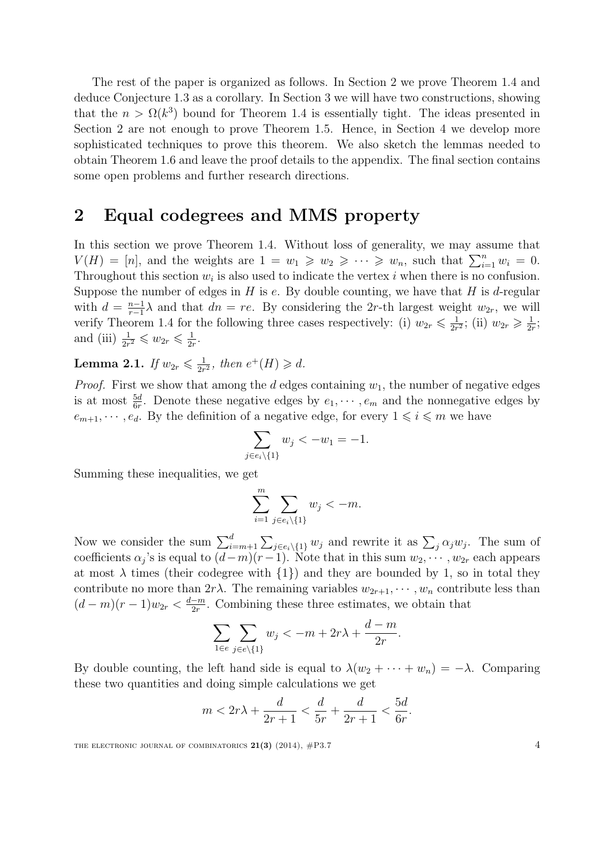The rest of the paper is organized as follows. In Section [2](#page-3-0) we prove Theorem [1.4](#page-2-0) and deduce Conjecture [1.3](#page-1-1) as a corollary. In Section [3](#page-7-0) we will have two constructions, showing that the  $n > \Omega(k^3)$  bound for Theorem [1.4](#page-2-0) is essentially tight. The ideas presented in Section 2 are not enough to prove Theorem [1.5.](#page-2-1) Hence, in Section [4](#page-10-0) we develop more sophisticated techniques to prove this theorem. We also sketch the lemmas needed to obtain Theorem [1.6](#page-2-2) and leave the proof details to the appendix. The final section contains some open problems and further research directions.

## <span id="page-3-0"></span>2 Equal codegrees and MMS property

In this section we prove Theorem [1.4.](#page-2-0) Without loss of generality, we may assume that  $V(H) = [n]$ , and the weights are  $1 = w_1 \geq w_2 \geq \cdots \geq w_n$ , such that  $\sum_{i=1}^n w_i = 0$ . Throughout this section  $w_i$  is also used to indicate the vertex i when there is no confusion. Suppose the number of edges in  $H$  is  $e$ . By double counting, we have that  $H$  is  $d$ -regular with  $d = \frac{n-1}{r-1}$  $\frac{n-1}{r-1}\lambda$  and that  $dn = re$ . By considering the 2r-th largest weight  $w_{2r}$ , we will verify Theorem [1.4](#page-2-0) for the following three cases respectively: (i)  $w_{2r} \leq \frac{1}{2r}$  $\frac{1}{2r^2}$ ; (ii)  $w_{2r} \geq \frac{1}{2r}$  $\frac{1}{2r}$ ; and (iii)  $\frac{1}{2r^2} \leqslant w_{2r} \leqslant \frac{1}{2r^2}$  $\frac{1}{2r}$ .

<span id="page-3-1"></span>Lemma 2.1. If  $w_{2r} \leqslant \frac{1}{2r}$  $\frac{1}{2r^2}$ , then  $e^+(H) \geq d$ .

*Proof.* First we show that among the  $d$  edges containing  $w_1$ , the number of negative edges is at most  $\frac{5d}{6r}$ . Denote these negative edges by  $e_1, \dots, e_m$  and the nonnegative edges by  $e_{m+1}, \dots, e_d$ . By the definition of a negative edge, for every  $1 \leq i \leq m$  we have

$$
\sum_{j \in e_i \setminus \{1\}} w_j < -w_1 = -1.
$$

Summing these inequalities, we get

$$
\sum_{i=1}^m \sum_{j \in e_i \setminus \{1\}} w_j < -m.
$$

Now we consider the sum  $\sum_{i=m+1}^{d} \sum_{j \in e_i \setminus \{1\}} w_j$  and rewrite it as  $\sum_j \alpha_j w_j$ . The sum of coefficients  $\alpha_j$ 's is equal to  $(d-m)(r-1)$ . Note that in this sum  $w_2, \dots, w_{2r}$  each appears at most  $\lambda$  times (their codegree with  $\{1\}$ ) and they are bounded by 1, so in total they contribute no more than  $2r\lambda$ . The remaining variables  $w_{2r+1}, \dots, w_n$  contribute less than  $(d-m)(r-1)w_{2r} < \frac{d-m}{2r}$  $\frac{-m}{2r}$ . Combining these three estimates, we obtain that

$$
\sum_{1 \in e} \sum_{j \in e \setminus \{1\}} w_j < -m + 2r\lambda + \frac{d-m}{2r}.
$$

By double counting, the left hand side is equal to  $\lambda(w_2 + \cdots + w_n) = -\lambda$ . Comparing these two quantities and doing simple calculations we get

$$
m < 2r\lambda + \frac{d}{2r+1} < \frac{d}{5r} + \frac{d}{2r+1} < \frac{5d}{6r}.
$$

THE ELECTRONIC JOURNAL OF COMBINATORICS  $21(3)$  (2014),  $\#P3.7$  4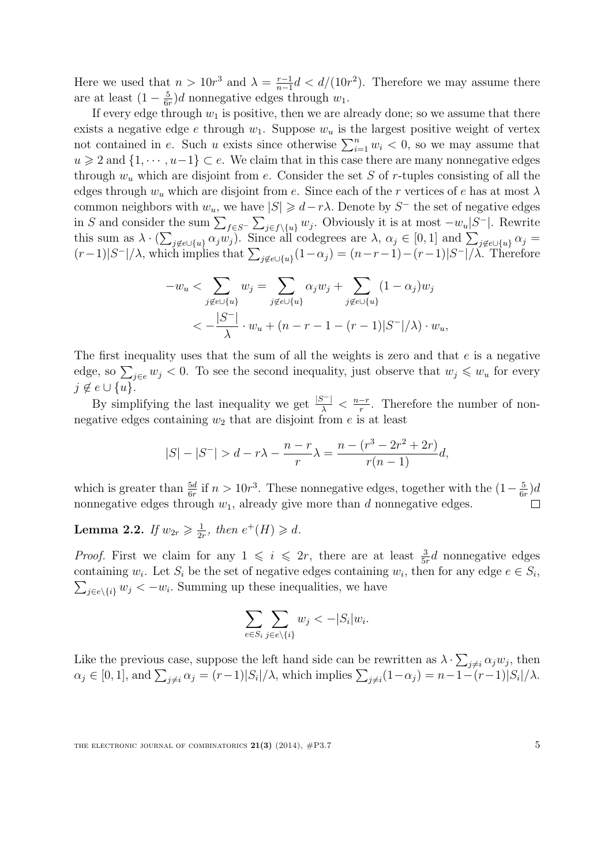Here we used that  $n > 10r^3$  and  $\lambda = \frac{r-1}{n-1}$  $\frac{r-1}{n-1}d < d/(10r^2)$ . Therefore we may assume there are at least  $(1-\frac{5}{64})$  $\frac{5}{6r}$ )d nonnegative edges through  $w_1$ .

If every edge through  $w_1$  is positive, then we are already done; so we assume that there exists a negative edge e through  $w_1$ . Suppose  $w_u$  is the largest positive weight of vertex not contained in e. Such u exists since otherwise  $\sum_{i=1}^{n} w_i < 0$ , so we may assume that  $u \geqslant 2$  and  $\{1, \dots, u-1\} \subset e$ . We claim that in this case there are many nonnegative edges through  $w_u$  which are disjoint from e. Consider the set S of r-tuples consisting of all the edges through  $w_u$  which are disjoint from e. Since each of the r vertices of e has at most  $\lambda$ common neighbors with  $w_u$ , we have  $|S| \geq d - r\lambda$ . Denote by S<sup>-</sup> the set of negative edges in S and consider the sum  $\sum_{f \in S^-} \sum_{j \in f \setminus \{u\}} w_j$ . Obviously it is at most  $-w_u|S^-|$ . Rewrite this sum as  $\lambda \cdot (\sum_{j \notin e \cup \{u\}} \alpha_j w_j)$ . Since all codegrees are  $\lambda, \alpha_j \in [0,1]$  and  $\sum_{j \notin e \cup \{u\}} \alpha_j =$  $(r-1)|S^{-}|/\lambda$ , which implies that  $\sum_{j \notin e \cup \{u\}} (1-\alpha_j) = (n-r-1)-(r-1)|S^{-}|/\lambda$ . Therefore

$$
-w_u < \sum_{j \notin e \cup \{u\}} w_j = \sum_{j \notin e \cup \{u\}} \alpha_j w_j + \sum_{j \notin e \cup \{u\}} (1 - \alpha_j) w_j
$$
  

$$
< -\frac{|S^-|}{\lambda} \cdot w_u + (n - r - 1 - (r - 1)|S^-|/\lambda) \cdot w_u,
$$

The first inequality uses that the sum of all the weights is zero and that e is a negative edge, so  $\sum_{j\in e} w_j < 0$ . To see the second inequality, just observe that  $w_j \leq w_u$  for every  $j \notin e \cup \{u\}.$ 

By simplifying the last inequality we get  $\frac{|S^-|}{\lambda} < \frac{n-r}{r}$  $\frac{-r}{r}$ . Therefore the number of nonnegative edges containing  $w_2$  that are disjoint from  $e$  is at least

$$
|S|-|S^-| > d - r\lambda - \frac{n-r}{r}\lambda = \frac{n - (r^3 - 2r^2 + 2r)}{r(n-1)}d,
$$

which is greater than  $\frac{5d}{6r}$  if  $n > 10r^3$ . These nonnegative edges, together with the  $(1-\frac{5}{6r})$  $\frac{5}{6r}$ )d nonnegative edges through  $w_1$ , already give more than d nonnegative edges.  $\Box$ 

<span id="page-4-0"></span>**Lemma 2.2.** If  $w_{2r} \geq \frac{1}{2r}$  $\frac{1}{2r}$ , then  $e^+(H) \geq d$ .

*Proof.* First we claim for any  $1 \leq i \leq 2r$ , there are at least  $\frac{3}{5r}d$  nonnegative edges containing  $w_i$ . Let  $S_i$  be the set of negative edges containing  $w_i$ , then for any edge  $e \in S_i$ ,<br> $\sum_{i \in e \setminus \{i\}} w_i < -w_i$ . Summing up these inequalities, we have  $_{j\in e\setminus\{i\}} w_j < -w_i$ . Summing up these inequalities, we have

$$
\sum_{e \in S_i} \sum_{j \in e \setminus \{i\}} w_j < -|S_i| w_i.
$$

Like the previous case, suppose the left hand side can be rewritten as  $\lambda \cdot \sum_{j \neq i} \alpha_j w_j$ , then  $\alpha_j \in [0,1],$  and  $\sum_{j \neq i} \alpha_j = (r-1)|S_i|/\lambda$ , which implies  $\sum_{j \neq i} (1-\alpha_j) = n-1-(r-1)|S_i|/\lambda$ .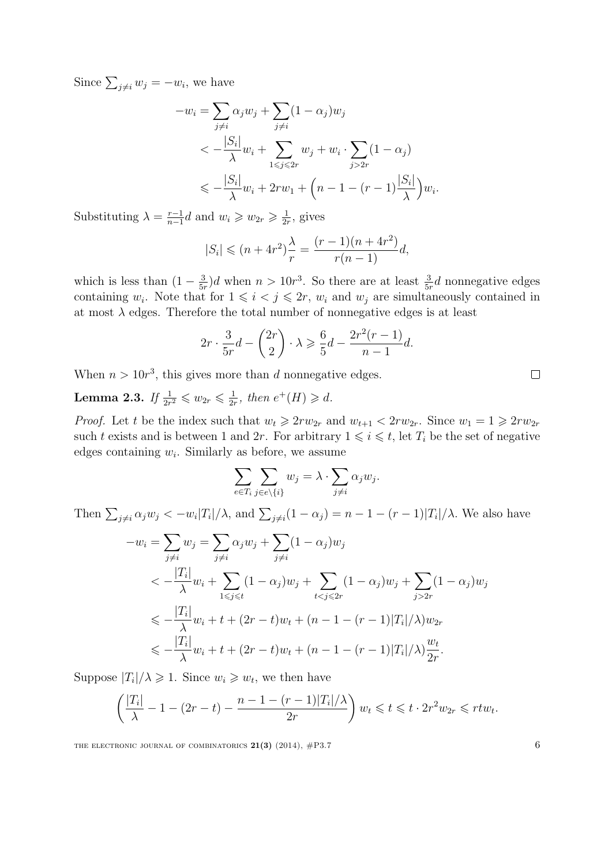Since  $\sum_{j\neq i} w_j = -w_i$ , we have

$$
-w_i = \sum_{j \neq i} \alpha_j w_j + \sum_{j \neq i} (1 - \alpha_j) w_j
$$
  

$$
< -\frac{|S_i|}{\lambda} w_i + \sum_{1 \leq j \leq 2r} w_j + w_i \cdot \sum_{j > 2r} (1 - \alpha_j)
$$
  

$$
\leq -\frac{|S_i|}{\lambda} w_i + 2rw_1 + \left(n - 1 - (r - 1)\frac{|S_i|}{\lambda}\right) w_i.
$$

Substituting  $\lambda = \frac{r-1}{r-1}$  $\frac{r-1}{n-1}d$  and  $w_i \geqslant w_{2r} \geqslant \frac{1}{2n}$  $\frac{1}{2r}$ , gives

$$
|S_i| \le (n+4r^2)\frac{\lambda}{r} = \frac{(r-1)(n+4r^2)}{r(n-1)}d,
$$

which is less than  $(1 - \frac{3}{5i})$  $\frac{3}{5r}$ )d when  $n > 10r^3$ . So there are at least  $\frac{3}{5r}d$  nonnegative edges containing  $w_i$ . Note that for  $1 \leq i \leq j \leq 2r$ ,  $w_i$  and  $w_j$  are simultaneously contained in at most  $\lambda$  edges. Therefore the total number of nonnegative edges is at least

$$
2r \cdot \frac{3}{5r}d - \binom{2r}{2} \cdot \lambda \geqslant \frac{6}{5}d - \frac{2r^2(r-1)}{n-1}d.
$$

When  $n > 10r<sup>3</sup>$ , this gives more than d nonnegative edges.

<span id="page-5-0"></span>Lemma 2.3. If  $\frac{1}{2r^2} \leqslant w_{2r} \leqslant \frac{1}{2r^2}$  $\frac{1}{2r}$ , then  $e^+(H) \geq d$ .

*Proof.* Let t be the index such that  $w_t \geq 2rw_{2r}$  and  $w_{t+1} < 2rw_{2r}$ . Since  $w_1 = 1 \geq 2rw_{2r}$ such t exists and is between 1 and 2r. For arbitrary  $1 \leq i \leq t$ , let  $T_i$  be the set of negative edges containing  $w_i$ . Similarly as before, we assume

$$
\sum_{e \in T_i} \sum_{j \in e \setminus \{i\}} w_j = \lambda \cdot \sum_{j \neq i} \alpha_j w_j.
$$

Then  $\sum_{j\neq i}\alpha_j w_j < -w_i|T_i|/\lambda$ , and  $\sum_{j\neq i}(1-\alpha_j)=n-1-(r-1)|T_i|/\lambda$ . We also have

$$
-w_i = \sum_{j \neq i} w_j = \sum_{j \neq i} \alpha_j w_j + \sum_{j \neq i} (1 - \alpha_j) w_j
$$
  

$$
< -\frac{|T_i|}{\lambda} w_i + \sum_{1 \leq j \leq t} (1 - \alpha_j) w_j + \sum_{t < j \leq 2r} (1 - \alpha_j) w_j + \sum_{j > 2r} (1 - \alpha_j) w_j
$$
  

$$
\leq -\frac{|T_i|}{\lambda} w_i + t + (2r - t) w_t + (n - 1 - (r - 1)|T_i|/\lambda) w_{2r}
$$
  

$$
\leq -\frac{|T_i|}{\lambda} w_i + t + (2r - t) w_t + (n - 1 - (r - 1)|T_i|/\lambda) \frac{w_t}{2r}.
$$

Suppose  $|T_i|/\lambda \geq 1$ . Since  $w_i \geq w_t$ , we then have

$$
\left(\frac{|T_i|}{\lambda} - 1 - (2r - t) - \frac{n - 1 - (r - 1)|T_i|}{2r}\right)w_t \leqslant t \leqslant t \cdot 2r^2 w_{2r} \leqslant rt w_t.
$$

THE ELECTRONIC JOURNAL OF COMBINATORICS  $21(3)$  (2014),  $\#P3.7$  6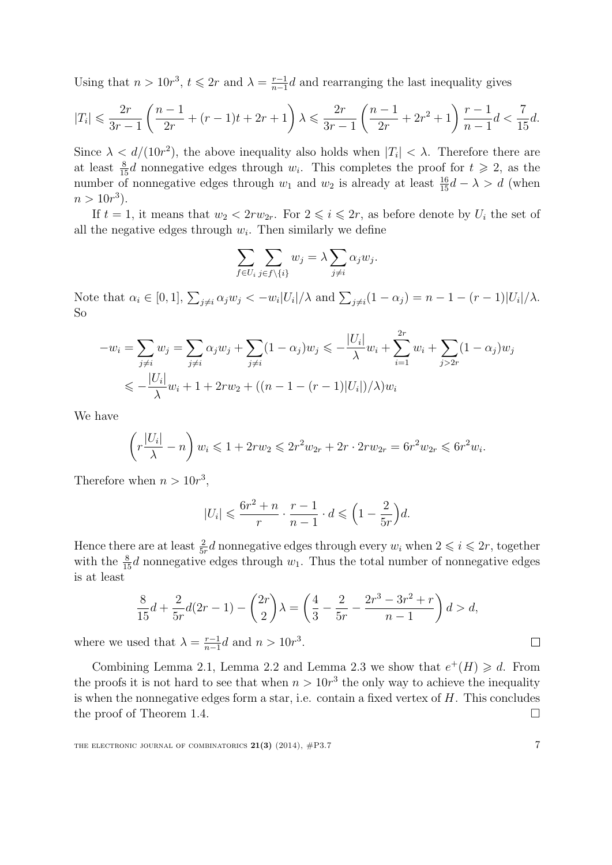Using that  $n > 10r^3$ ,  $t \leq 2r$  and  $\lambda = \frac{r-1}{n-1}$  $\frac{r-1}{n-1}d$  and rearranging the last inequality gives

$$
|T_i| \leqslant \frac{2r}{3r-1} \left( \frac{n-1}{2r} + (r-1)t + 2r + 1 \right) \lambda \leqslant \frac{2r}{3r-1} \left( \frac{n-1}{2r} + 2r^2 + 1 \right) \frac{r-1}{n-1} d < \frac{7}{15} d.
$$

Since  $\lambda < d/(10r^2)$ , the above inequality also holds when  $|T_i| < \lambda$ . Therefore there are at least  $\frac{8}{15}d$  nonnegative edges through  $w_i$ . This completes the proof for  $t \geq 2$ , as the number of nonnegative edges through  $w_1$  and  $w_2$  is already at least  $\frac{16}{15}d - \lambda > d$  (when  $n > 10r^3$ .

If  $t = 1$ , it means that  $w_2 < 2rw_{2r}$ . For  $2 \leq i \leq 2r$ , as before denote by  $U_i$  the set of all the negative edges through  $w_i$ . Then similarly we define

$$
\sum_{f \in U_i} \sum_{j \in f \setminus \{i\}} w_j = \lambda \sum_{j \neq i} \alpha_j w_j.
$$

Note that  $\alpha_i \in [0,1], \sum_{j \neq i} \alpha_j w_j < -w_i |U_i|/\lambda$  and  $\sum_{j \neq i} (1 - \alpha_j) = n - 1 - (r - 1)|U_i|/\lambda$ . So

$$
-w_i = \sum_{j \neq i} w_j = \sum_{j \neq i} \alpha_j w_j + \sum_{j \neq i} (1 - \alpha_j) w_j \leq -\frac{|U_i|}{\lambda} w_i + \sum_{i=1}^{2r} w_i + \sum_{j > 2r} (1 - \alpha_j) w_j
$$
  

$$
\leq -\frac{|U_i|}{\lambda} w_i + 1 + 2rw_2 + ((n - 1 - (r - 1)|U_i|)/\lambda) w_i
$$

We have

$$
\left(r\frac{|U_i|}{\lambda} - n\right)w_i \leq 1 + 2rw_2 \leq 2r^2w_{2r} + 2r \cdot 2rw_{2r} = 6r^2w_{2r} \leq 6r^2w_i.
$$

Therefore when  $n > 10r^3$ ,

$$
|U_i| \leqslant \frac{6r^2 + n}{r} \cdot \frac{r-1}{n-1} \cdot d \leqslant \left(1 - \frac{2}{5r}\right)d.
$$

Hence there are at least  $\frac{2}{5r}d$  nonnegative edges through every  $w_i$  when  $2 \leq i \leq 2r$ , together with the  $\frac{8}{15}d$  nonnegative edges through  $w_1$ . Thus the total number of nonnegative edges is at least

$$
\frac{8}{15}d + \frac{2}{5r}d(2r - 1) - \binom{2r}{2}\lambda = \left(\frac{4}{3} - \frac{2}{5r} - \frac{2r^3 - 3r^2 + r}{n - 1}\right)d > d,
$$

where we used that  $\lambda = \frac{r-1}{r-1}$  $\frac{r-1}{n-1}d$  and  $n > 10r^3$ .

Combining Lemma [2.1,](#page-3-1) Lemma [2.2](#page-4-0) and Lemma [2.3](#page-5-0) we show that  $e^+(H) \geq d$ . From the proofs it is not hard to see that when  $n > 10r<sup>3</sup>$  the only way to achieve the inequality is when the nonnegative edges form a star, i.e. contain a fixed vertex of  $H$ . This concludes the proof of Theorem [1.4.](#page-2-0)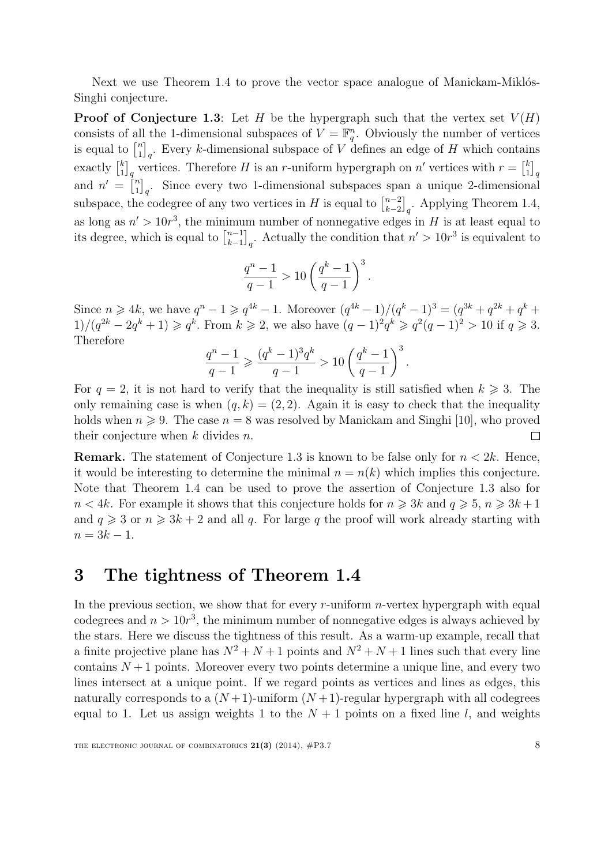Next we use Theorem [1.4](#page-2-0) to prove the vector space analogue of Manickam-Miklós-Singhi conjecture.

**Proof of Conjecture [1.3](#page-1-1):** Let H be the hypergraph such that the vertex set  $V(H)$ consists of all the 1-dimensional subspaces of  $V = \mathbb{F}_q^n$ . Obviously the number of vertices is equal to  $\begin{bmatrix} n \\ 1 \end{bmatrix}$  $\binom{n}{1}_q$ . Every k-dimensional subspace of V defines an edge of H which contains exactly  $\begin{bmatrix} k \\ 1 \end{bmatrix}$  $\binom{k}{1}_q$  vertices. Therefore H is an r-uniform hypergraph on n' vertices with  $r = \binom{k}{1}$  $\left[\begin{smallmatrix} k \ 1 \end{smallmatrix}\right]_q$ and  $n' = \begin{bmatrix} n \\ 1 \end{bmatrix}$  $\binom{n}{1}_q$ . Since every two 1-dimensional subspaces span a unique 2-dimensional subspace, the codegree of any two vertices in H is equal to  $\binom{n-2}{k-2}$  $\binom{n-2}{k-2}_q$ . Applying Theorem [1.4,](#page-2-0) as long as  $n' > 10r^3$ , the minimum number of nonnegative edges in H is at least equal to its degree, which is equal to  $\binom{n-1}{k-1}$  $\binom{n-1}{k-1}_q$ . Actually the condition that  $n' > 10r^3$  is equivalent to

$$
\frac{q^n - 1}{q - 1} > 10 \left( \frac{q^k - 1}{q - 1} \right)^3.
$$

Since  $n \ge 4k$ , we have  $q^n - 1 \ge q^{4k} - 1$ . Moreover  $(q^{4k} - 1)/(q^k - 1)^3 = (q^{3k} + q^{2k} + q^k +$  $1)/(q^{2k} - 2q^k + 1) \geq q^k$ . From  $k \geq 2$ , we also have  $(q-1)^2 q^k \geq q^2 (q-1)^2 > 10$  if  $q \geq 3$ . Therefore

$$
\frac{q^n-1}{q-1} \geqslant \frac{(q^k-1)^3q^k}{q-1} > 10\left(\frac{q^k-1}{q-1}\right)^3.
$$

For  $q = 2$ , it is not hard to verify that the inequality is still satisfied when  $k \geq 3$ . The only remaining case is when  $(q, k) = (2, 2)$ . Again it is easy to check that the inequality holds when  $n \geq 9$ . The case  $n = 8$  was resolved by Manickam and Singhi [\[10\]](#page-17-1), who proved their conjecture when  $k$  divides  $n$ .  $\Box$ 

**Remark.** The statement of Conjecture [1.3](#page-1-1) is known to be false only for  $n < 2k$ . Hence, it would be interesting to determine the minimal  $n = n(k)$  which implies this conjecture. Note that Theorem [1.4](#page-2-0) can be used to prove the assertion of Conjecture [1.3](#page-1-1) also for  $n < 4k$ . For example it shows that this conjecture holds for  $n \geq 3k$  and  $q \geq 5$ ,  $n \geq 3k+1$ and  $q \geq 3$  or  $n \geq 3k + 2$  and all q. For large q the proof will work already starting with  $n = 3k - 1.$ 

## <span id="page-7-0"></span>3 The tightness of Theorem [1.4](#page-2-0)

In the previous section, we show that for every  $r$ -uniform  $n$ -vertex hypergraph with equal codegrees and  $n > 10r<sup>3</sup>$ , the minimum number of nonnegative edges is always achieved by the stars. Here we discuss the tightness of this result. As a warm-up example, recall that a finite projective plane has  $N^2 + N + 1$  points and  $N^2 + N + 1$  lines such that every line contains  $N+1$  points. Moreover every two points determine a unique line, and every two lines intersect at a unique point. If we regard points as vertices and lines as edges, this naturally corresponds to a  $(N+1)$ -uniform  $(N+1)$ -regular hypergraph with all codegrees equal to 1. Let us assign weights 1 to the  $N+1$  points on a fixed line l, and weights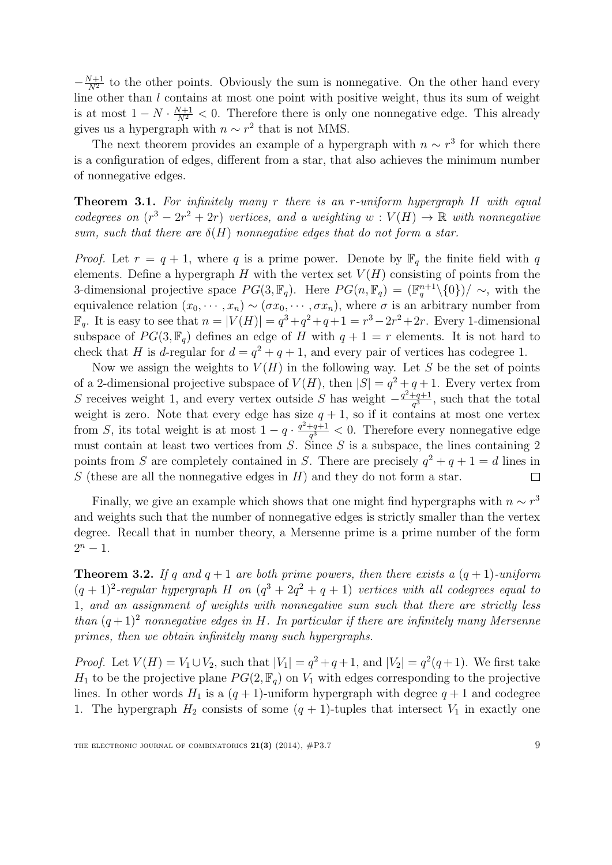$-\frac{N+1}{N^2}$  to the other points. Obviously the sum is nonnegative. On the other hand every line other than l contains at most one point with positive weight, thus its sum of weight is at most  $1 - N \cdot \frac{N+1}{N^2} < 0$ . Therefore there is only one nonnegative edge. This already gives us a hypergraph with  $n \sim r^2$  that is not MMS.

The next theorem provides an example of a hypergraph with  $n \sim r^3$  for which there is a configuration of edges, different from a star, that also achieves the minimum number of nonnegative edges.

**Theorem 3.1.** For infinitely many r there is an r-uniform hypergraph  $H$  with equal codegrees on  $(r^3 - 2r^2 + 2r)$  vertices, and a weighting  $w : V(H) \to \mathbb{R}$  with nonnegative sum, such that there are  $\delta(H)$  nonnegative edges that do not form a star.

*Proof.* Let  $r = q + 1$ , where q is a prime power. Denote by  $\mathbb{F}_q$  the finite field with q elements. Define a hypergraph  $H$  with the vertex set  $V(H)$  consisting of points from the 3-dimensional projective space  $PG(3, \mathbb{F}_q)$ . Here  $PG(n, \mathbb{F}_q) = (\mathbb{F}_q^{n+1} \setminus \{0\})/\sim$ , with the equivalence relation  $(x_0, \dots, x_n) \sim (\sigma x_0, \dots, \sigma x_n)$ , where  $\sigma$  is an arbitrary number from  $\mathbb{F}_q$ . It is easy to see that  $n = |V(H)| = q^3 + q^2 + q + 1 = r^3 - 2r^2 + 2r$ . Every 1-dimensional subspace of  $PG(3, \mathbb{F}_q)$  defines an edge of H with  $q + 1 = r$  elements. It is not hard to check that H is d-regular for  $d = q^2 + q + 1$ , and every pair of vertices has codegree 1.

Now we assign the weights to  $V(H)$  in the following way. Let S be the set of points of a 2-dimensional projective subspace of  $V(H)$ , then  $|S| = q^2 + q + 1$ . Every vertex from S receives weight 1, and every vertex outside S has weight  $-\frac{q^2+q+1}{q^3}$  $\frac{+q+1}{q^3}$ , such that the total weight is zero. Note that every edge has size  $q + 1$ , so if it contains at most one vertex from S, its total weight is at most  $1 - q \cdot \frac{q^2 + q + 1}{q^3}$  $\frac{q+q+1}{q^3} < 0$ . Therefore every nonnegative edge must contain at least two vertices from  $S$ . Since  $S$  is a subspace, the lines containing 2 points from S are completely contained in S. There are precisely  $q^2 + q + 1 = d$  lines in S (these are all the nonnegative edges in  $H$ ) and they do not form a star.  $\Box$ 

Finally, we give an example which shows that one might find hypergraphs with  $n \sim r^3$ and weights such that the number of nonnegative edges is strictly smaller than the vertex degree. Recall that in number theory, a Mersenne prime is a prime number of the form  $2^n - 1$ .

**Theorem 3.2.** If q and  $q + 1$  are both prime powers, then there exists a  $(q + 1)$ -uniform  $(q + 1)^2$ -regular hypergraph H on  $(q^3 + 2q^2 + q + 1)$  vertices with all codegrees equal to 1, and an assignment of weights with nonnegative sum such that there are strictly less than  $(q+1)^2$  nonnegative edges in H. In particular if there are infinitely many Mersenne primes, then we obtain infinitely many such hypergraphs.

*Proof.* Let  $V(H) = V_1 \cup V_2$ , such that  $|V_1| = q^2 + q + 1$ , and  $|V_2| = q^2(q+1)$ . We first take  $H_1$  to be the projective plane  $PG(2, \mathbb{F}_q)$  on  $V_1$  with edges corresponding to the projective lines. In other words  $H_1$  is a  $(q + 1)$ -uniform hypergraph with degree  $q + 1$  and codegree 1. The hypergraph  $H_2$  consists of some  $(q + 1)$ -tuples that intersect  $V_1$  in exactly one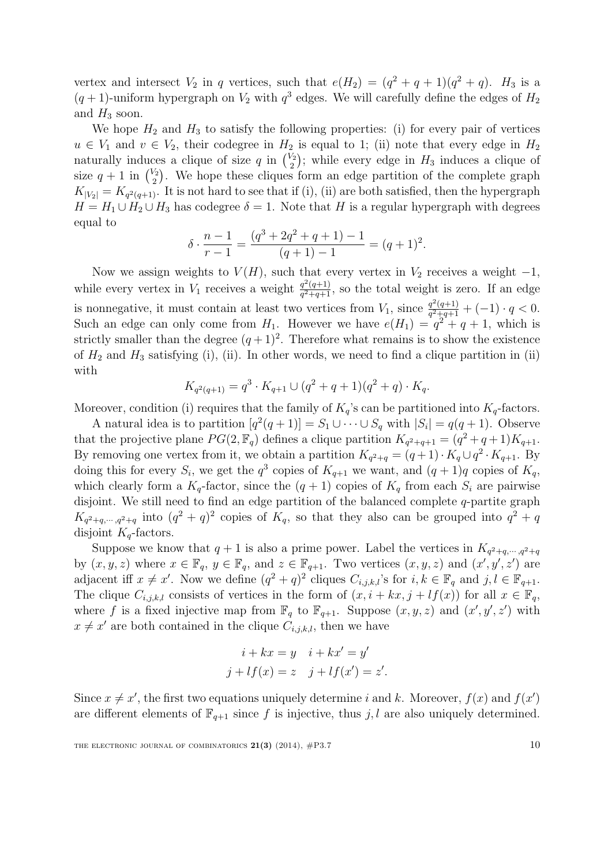vertex and intersect  $V_2$  in q vertices, such that  $e(H_2) = (q^2 + q + 1)(q^2 + q)$ .  $H_3$  is a  $(q+1)$ -uniform hypergraph on  $V_2$  with  $q^3$  edges. We will carefully define the edges of  $H_2$ and  $H_3$  soon.

We hope  $H_2$  and  $H_3$  to satisfy the following properties: (i) for every pair of vertices  $u \in V_1$  and  $v \in V_2$ , their codegree in  $H_2$  is equal to 1; (ii) note that every edge in  $H_2$ naturally induces a clique of size q in  $\binom{V_2}{2}$  $\binom{1}{2}$ ; while every edge in  $H_3$  induces a clique of size  $q+1$  in  $\binom{V_2}{2}$  $\binom{\sqrt{2}}{2}$ . We hope these cliques form an edge partition of the complete graph  $K_{|V_2|} = K_{q^2(q+1)}$ . It is not hard to see that if (i), (ii) are both satisfied, then the hypergraph  $H = H_1 \cup H_2 \cup H_3$  has codegree  $\delta = 1$ . Note that H is a regular hypergraph with degrees equal to

$$
\delta \cdot \frac{n-1}{r-1} = \frac{(q^3 + 2q^2 + q + 1) - 1}{(q+1) - 1} = (q+1)^2.
$$

Now we assign weights to  $V(H)$ , such that every vertex in  $V_2$  receives a weight  $-1$ , while every vertex in  $V_1$  receives a weight  $\frac{q^2(q+1)}{q^2+q+1}$  $\frac{q^2(q+1)}{q^2+q+1}$ , so the total weight is zero. If an edge is nonnegative, it must contain at least two vertices from  $V_1$ , since  $\frac{q^2(q+1)}{q^2+q+1}$  $\frac{q^2(q+1)}{q^2+q+1}+(-1)\cdot q<0.$ Such an edge can only come from  $H_1$ . However we have  $e(H_1) = q^2 + q + 1$ , which is strictly smaller than the degree  $(q+1)^2$ . Therefore what remains is to show the existence of  $H_2$  and  $H_3$  satisfying (i), (ii). In other words, we need to find a clique partition in (ii) with

$$
K_{q^2(q+1)} = q^3 \cdot K_{q+1} \cup (q^2+q+1)(q^2+q) \cdot K_q.
$$

Moreover, condition (i) requires that the family of  $K_q$ 's can be partitioned into  $K_q$ -factors.

A natural idea is to partition  $[q^2(q+1)] = S_1 \cup \cdots \cup S_q$  with  $|S_i| = q(q+1)$ . Observe that the projective plane  $PG(2, \mathbb{F}_q)$  defines a clique partition  $K_{q^2+q+1} = (q^2+q+1)K_{q+1}$ . By removing one vertex from it, we obtain a partition  $K_{q^2+q} = (q+1) \cdot K_q \cup q^2 \cdot K_{q+1}$ . By doing this for every  $S_i$ , we get the  $q^3$  copies of  $K_{q+1}$  we want, and  $(q+1)q$  copies of  $K_q$ , which clearly form a  $K_q$ -factor, since the  $(q + 1)$  copies of  $K_q$  from each  $S_i$  are pairwise disjoint. We still need to find an edge partition of the balanced complete q-partite graph  $K_{q^2+q,\dots,q^2+q}$  into  $(q^2+q)^2$  copies of  $K_q$ , so that they also can be grouped into  $q^2+q$ disjoint  $K_q$ -factors.

Suppose we know that  $q+1$  is also a prime power. Label the vertices in  $K_{q^2+q,\dots,q^2+q}$ by  $(x, y, z)$  where  $x \in \mathbb{F}_q$ ,  $y \in \mathbb{F}_q$ , and  $z \in \mathbb{F}_{q+1}$ . Two vertices  $(x, y, z)$  and  $(x', y', z')$  are adjacent iff  $x \neq x'$ . Now we define  $(q^2 + q)^2$  cliques  $C_{i,j,k,l}$ 's for  $i, k \in \mathbb{F}_q$  and  $j, l \in \mathbb{F}_{q+1}$ . The clique  $C_{i,j,k,l}$  consists of vertices in the form of  $(x, i + kx, j + lf(x))$  for all  $x \in \mathbb{F}_q$ , where f is a fixed injective map from  $\mathbb{F}_q$  to  $\mathbb{F}_{q+1}$ . Suppose  $(x, y, z)$  and  $(x', y', z')$  with  $x \neq x'$  are both contained in the clique  $C_{i,j,k,l}$ , then we have

$$
i + kx = y \quad i + kx' = y'
$$
  

$$
j + lf(x) = z \quad j + lf(x') = z'.
$$

Since  $x \neq x'$ , the first two equations uniquely determine i and k. Moreover,  $f(x)$  and  $f(x')$ are different elements of  $\mathbb{F}_{q+1}$  since f is injective, thus j, l are also uniquely determined.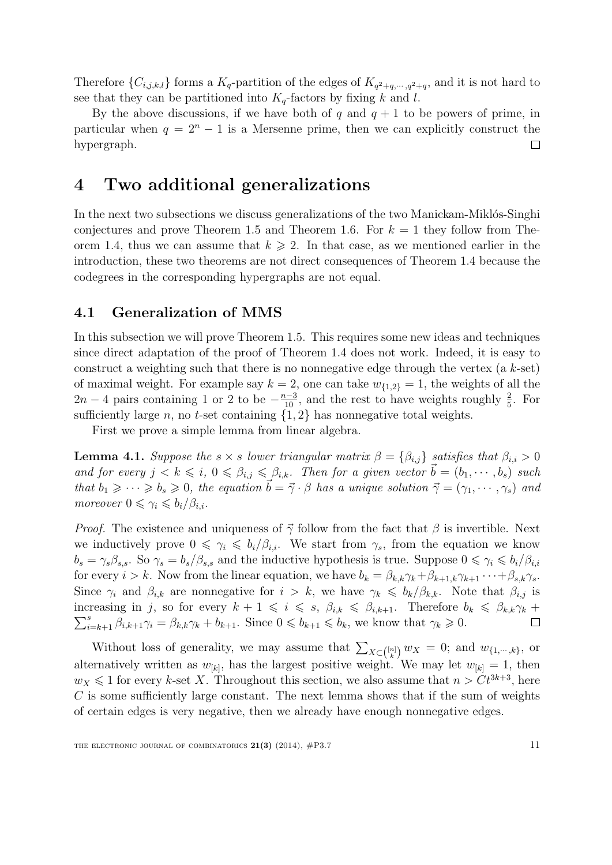Therefore  $\{C_{i,j,k,l}\}$  forms a  $K_q$ -partition of the edges of  $K_{q^2+q,\dots,q^2+q}$ , and it is not hard to see that they can be partitioned into  $K_q$ -factors by fixing k and l.

By the above discussions, if we have both of q and  $q + 1$  to be powers of prime, in particular when  $q = 2<sup>n</sup> - 1$  is a Mersenne prime, then we can explicitly construct the hypergraph.  $\Box$ 

## <span id="page-10-0"></span>4 Two additional generalizations

In the next two subsections we discuss generalizations of the two Manickam-Miklós-Singhi conjectures and prove Theorem [1.5](#page-2-1) and Theorem [1.6.](#page-2-2) For  $k = 1$  they follow from The-orem [1.4,](#page-2-0) thus we can assume that  $k \geqslant 2$ . In that case, as we mentioned earlier in the introduction, these two theorems are not direct consequences of Theorem [1.4](#page-2-0) because the codegrees in the corresponding hypergraphs are not equal.

### 4.1 Generalization of MMS

In this subsection we will prove Theorem [1.5.](#page-2-1) This requires some new ideas and techniques since direct adaptation of the proof of Theorem [1.4](#page-2-0) does not work. Indeed, it is easy to construct a weighting such that there is no nonnegative edge through the vertex (a  $k$ -set) of maximal weight. For example say  $k = 2$ , one can take  $w_{\{1,2\}} = 1$ , the weights of all the  $2n-4$  pairs containing 1 or 2 to be  $-\frac{n-3}{10}$ , and the rest to have weights roughly  $\frac{2}{5}$ . For sufficiently large n, no t-set containing  $\{1, 2\}$  has nonnegative total weights.

First we prove a simple lemma from linear algebra.

<span id="page-10-1"></span>**Lemma 4.1.** Suppose the s  $\times$  s lower triangular matrix  $\beta = {\beta_{i,j}}$  satisfies that  $\beta_{i,i} > 0$ and for every  $j < k \leq i, 0 \leq \beta_{i,j} \leq \beta_{i,k}$ . Then for a given vector  $\vec{b} = (b_1, \dots, b_s)$  such that  $b_1 \geqslant \cdots \geqslant b_s \geqslant 0$ , the equation  $\vec{b} = \vec{\gamma} \cdot \beta$  has a unique solution  $\vec{\gamma} = (\gamma_1, \cdots, \gamma_s)$  and moreover  $0 \leq \gamma_i \leq b_i/\beta_{i,i}$ .

*Proof.* The existence and uniqueness of  $\vec{\gamma}$  follow from the fact that  $\beta$  is invertible. Next we inductively prove  $0 \leq \gamma_i \leq b_i/\beta_{i,i}$ . We start from  $\gamma_s$ , from the equation we know  $b_s = \gamma_s \beta_{s,s}$ . So  $\gamma_s = b_s/\beta_{s,s}$  and the inductive hypothesis is true. Suppose  $0 \le \gamma_i \le b_i/\beta_{i,i}$ for every  $i > k$ . Now from the linear equation, we have  $b_k = \beta_{k,k} \gamma_k + \beta_{k+1,k} \gamma_{k+1} \cdots + \beta_{s,k} \gamma_s$ . Since  $\gamma_i$  and  $\beta_{i,k}$  are nonnegative for  $i > k$ , we have  $\gamma_k \leqslant b_k/\beta_{k,k}$ . Note that  $\beta_{i,j}$  is increasing in j, so for every  $k + 1 \leq i \leq s$ ,  $\beta_{i,k} \leq \beta_{i,k+1}$ . Therefore  $b_k \leq \beta_{k,k} \gamma_k +$  $\sum_{i=k+1}^{s} \beta_{i,k+1} \gamma_i = \beta_{k,k} \gamma_k + b_{k+1}$ . Since  $0 \leq b_{k+1} \leq b_k$ , we know that  $\gamma_k \geq 0$ .  $\Box$ 

Without loss of generality, we may assume that  $\sum_{X \subset \binom{[n]}{k}} w_X = 0$ ; and  $w_{\{1,\dots,k\}}$ , or alternatively written as  $w_{[k]}$ , has the largest positive weight. We may let  $w_{[k]} = 1$ , then  $w_X \leq 1$  for every k-set X. Throughout this section, we also assume that  $n > Ct^{3k+3}$ , here  $C$  is some sufficiently large constant. The next lemma shows that if the sum of weights of certain edges is very negative, then we already have enough nonnegative edges.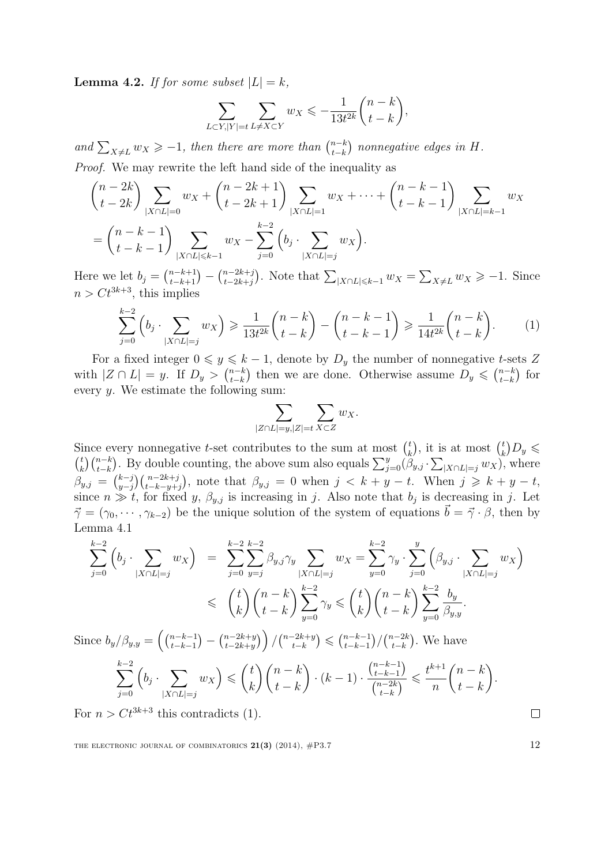<span id="page-11-1"></span>**Lemma 4.2.** If for some subset  $|L| = k$ ,

$$
\sum_{L\subset Y, |Y|=t}\sum_{L\neq X\subset Y}w_X\leqslant -\frac{1}{13t^{2k}}\binom{n-k}{t-k},
$$

and  $\sum_{X \neq L} w_X \geq -1$ , then there are more than  $\binom{n-k}{t-k}$  $_{t-k}^{n-k}$ ) nonnegative edges in H. Proof. We may rewrite the left hand side of the inequality as

$$
\binom{n-2k}{t-2k} \sum_{|X \cap L|=0} w_X + \binom{n-2k+1}{t-2k+1} \sum_{|X \cap L|=1} w_X + \dots + \binom{n-k-1}{t-k-1} \sum_{|X \cap L|=k-1} w_X
$$
\n
$$
= \binom{n-k-1}{t-k-1} \sum_{|X \cap L| \le k-1} w_X - \sum_{j=0}^{k-2} \left( b_j \cdot \sum_{|X \cap L|=j} w_X \right).
$$

Here we let  $b_j = \binom{n-k+1}{t-k+1} - \binom{n-2k+j}{t-2k+j}$  $_{t-2k+j}^{(n-2k+j)}$ . Note that  $\sum_{|X \cap L| \leq k-1} w_X = \sum_{X \neq L} w_X \geq -1$ . Since  $n > Ct^{3k+3}$ , this implies

$$
\sum_{j=0}^{k-2} \left( b_j \cdot \sum_{|X \cap L|=j} w_X \right) \geq \frac{1}{13t^{2k}} {n-k \choose t-k} - {n-k-1 \choose t-k-1} \geq \frac{1}{14t^{2k}} {n-k \choose t-k}.
$$
 (1)

For a fixed integer  $0 \leq y \leq k-1$ , denote by  $D_y$  the number of nonnegative t-sets Z with  $|Z \cap L| = y$ . If  $D_y > \binom{n-k}{t-k}$  $_{t-k}^{n-k}$ ) then we are done. Otherwise assume  $D_y \leqslant {\binom{n-k}{t-k}}$  $_{t-k}^{n-k}$  for every y. We estimate the following sum:

<span id="page-11-0"></span>
$$
\sum_{|Z \cap L|=y, |Z|=t} \sum_{X \subset Z} w_X.
$$

Since every nonnegative *t*-set contributes to the sum at most  $\binom{t}{k}$  $\binom{t}{k}$ , it is at most  $\binom{t}{k}$  $\binom{t}{k}$  $D_y \leqslant$  $\binom{t}{t}$  $\sum_{k=1}^{t} {n-k \choose t-k}$ . By double counting, the above sum also equals  $\sum_{j=0}^{y} (\beta_{y,j} \cdot \sum_{|X \cap L|=j} w_X)$ , where  $\beta_{y,j} = {k-j \choose y-i}$  $\sum_{y=j}^{k-j} {n-2k+j \choose t-k-y+j}$ , note that  $\beta_{y,j} = 0$  when  $j < k + y - t$ . When  $j \geq k + y - t$ , since  $n \gg t$ , for fixed y,  $\beta_{y,j}$  is increasing in j. Also note that  $b_j$  is decreasing in j. Let  $\vec{\gamma} = (\gamma_0, \cdots, \gamma_{k-2})$  be the unique solution of the system of equations  $\vec{b} = \vec{\gamma} \cdot \beta$ , then by Lemma [4.1](#page-10-1)

$$
\sum_{j=0}^{k-2} \left( b_j \cdot \sum_{|X \cap L| = j} w_X \right) = \sum_{j=0}^{k-2} \sum_{y=j}^{k-2} \beta_{y,j} \gamma_y \sum_{|X \cap L| = j} w_X = \sum_{y=0}^{k-2} \gamma_y \cdot \sum_{j=0}^{y} \left( \beta_{y,j} \cdot \sum_{|X \cap L| = j} w_X \right)
$$
  

$$
\leq \left( \binom{t}{k} \binom{n-k}{t-k} \sum_{y=0}^{k-2} \gamma_y \leq \binom{t}{k} \binom{n-k}{t-k} \sum_{y=0}^{k-2} \frac{b_y}{\beta_{y,y}}.
$$
  
Since  $b_y/\beta_{y,y} = \left( \binom{n-k-1}{t-k-1} - \binom{n-2k+y}{t-2k+y} \right) / \binom{n-2k+y}{t-k} \leq \binom{n-k-1}{t-k-1} / \binom{n-2k}{t-k}.$  We have

$$
\sum_{j=0}^{k-2} \left( b_j \cdot \sum_{|X \cap L|=j} w_X \right) \leqslant \binom{t}{k} \binom{n-k}{t-k} \cdot (k-1) \cdot \frac{\binom{n-k-1}{t-k-1}}{\binom{n-2k}{t-k}} \leqslant \frac{t^{k+1}}{n} \binom{n-k}{t-k}.
$$

For  $n > Ct^{3k+3}$  this contradicts [\(1\)](#page-11-0).

THE ELECTRONIC JOURNAL OF COMBINATORICS  $21(3)$  (2014),  $\#P3.7$  12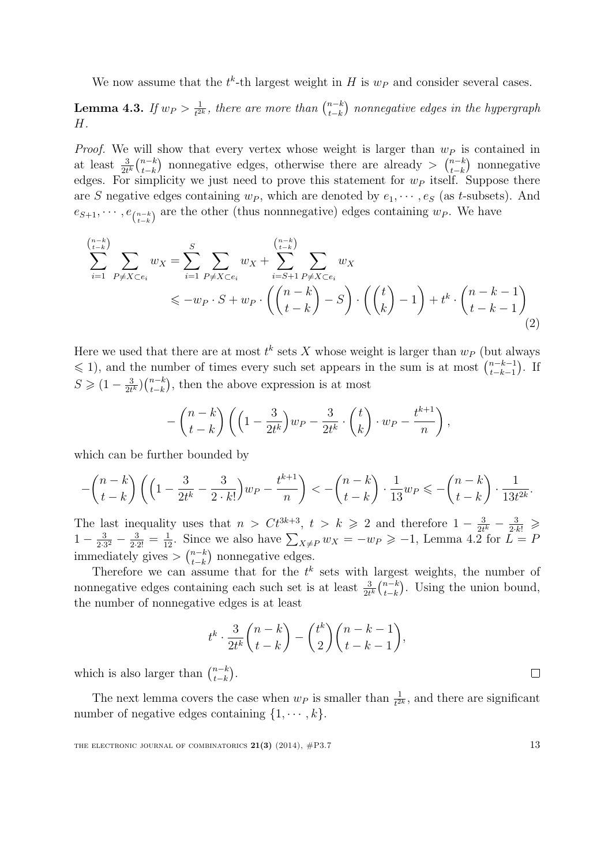We now assume that the  $t^k$ -th largest weight in H is  $w_P$  and consider several cases.

Lemma 4.3. If  $w_P > \frac{1}{t^2}$  $\frac{1}{t^{2k}}$ , there are more than  $\binom{n-k}{t-k}$  $_{t-k}^{n-k)}$  nonnegative edges in the hypergraph H.

*Proof.* We will show that every vertex whose weight is larger than  $w_P$  is contained in at least  $\frac{3}{2t^k} \binom{n-k}{t-k}$  $_{t-k}^{n-k}$ ) nonnegative edges, otherwise there are already >  $\binom{n-k}{t-k}$  $_{t-k}^{n-k}$ ) nonnegative edges. For simplicity we just need to prove this statement for  $w_P$  itself. Suppose there are S negative edges containing  $w_P$ , which are denoted by  $e_1, \dots, e_S$  (as t-subsets). And  $e_{S+1}, \cdots, e_{\binom{n-k}{t-k}}$  are the other (thus nonnnegative) edges containing  $w_P$ . We have

$$
\sum_{i=1}^{n-k} \sum_{P \neq X \subset e_i} w_X = \sum_{i=1}^S \sum_{P \neq X \subset e_i} w_X + \sum_{i=S+1}^{n-k} \sum_{P \neq X \subset e_i} w_X
$$
  
\$\leq -w\_P \cdot S + w\_P \cdot \left( \binom{n-k}{t-k} - S \right) \cdot \left( \binom{t}{k} - 1 \right) + t^k \cdot \binom{n-k-1}{t-k-1} \tag{2}

Here we used that there are at most  $t^k$  sets X whose weight is larger than  $w_P$  (but always  $\leq 1$ , and the number of times every such set appears in the sum is at most  $\binom{n-k-1}{k-k-1}$  $_{t-k-1}^{n-k-1}$ ). If  $S \geqslant (1 - \frac{3}{2t})$  $\frac{3}{2t^k}\Big)\binom{n-k}{t-k}$  $_{t-k}^{n-k}$ , then the above expression is at most

$$
-\binom{n-k}{t-k}\left(\left(1-\frac{3}{2t^k}\right)w_P-\frac{3}{2t^k}\cdot\binom{t}{k}\cdot w_P-\frac{t^{k+1}}{n}\right),\,
$$

which can be further bounded by

$$
-\binom{n-k}{t-k}\left(\left(1-\frac{3}{2t^k}-\frac{3}{2\cdot k!}\right)w_P-\frac{t^{k+1}}{n}\right) < -\binom{n-k}{t-k}\cdot\frac{1}{13}w_P \leqslant -\binom{n-k}{t-k}\cdot\frac{1}{13t^{2k}}.
$$

The last inequality uses that  $n > Ct^{3k+3}$ ,  $t > k \ge 2$  and therefore  $1 - \frac{3}{2t}$  $\frac{3}{2t^k} - \frac{3}{2 \cdot k!} \geqslant$  $1-\frac{3}{2.5}$  $\frac{3}{2\cdot3^2} - \frac{3}{2\cdot2!} = \frac{1}{12}$ . Since we also have  $\sum_{X\neq P} w_X = -w_P \geqslant -1$ , Lemma [4.2](#page-11-1) for  $L = P$ immediately gives  $\frac{n-k}{k-k}$  $_{t-k}^{n-k}$  nonnegative edges.

Therefore we can assume that for the  $t^k$  sets with largest weights, the number of nonnegative edges containing each such set is at least  $\frac{3}{2t^k} {n-k \choose t-k}$  $_{t-k}^{n-k}$ ). Using the union bound, the number of nonnegative edges is at least

$$
t^k \cdot \frac{3}{2t^k} {n-k \choose t-k} - {t^k \choose 2} {n-k-1 \choose t-k-1},
$$

which is also larger than  $\binom{n-k}{t-k}$  $_{t-k}^{n-k}$ ).

The next lemma covers the case when  $w_P$  is smaller than  $\frac{1}{t^{2k}}$ , and there are significant number of negative edges containing  $\{1, \dots, k\}$ .

THE ELECTRONIC JOURNAL OF COMBINATORICS  $21(3)$  (2014),  $\#P3.7$  13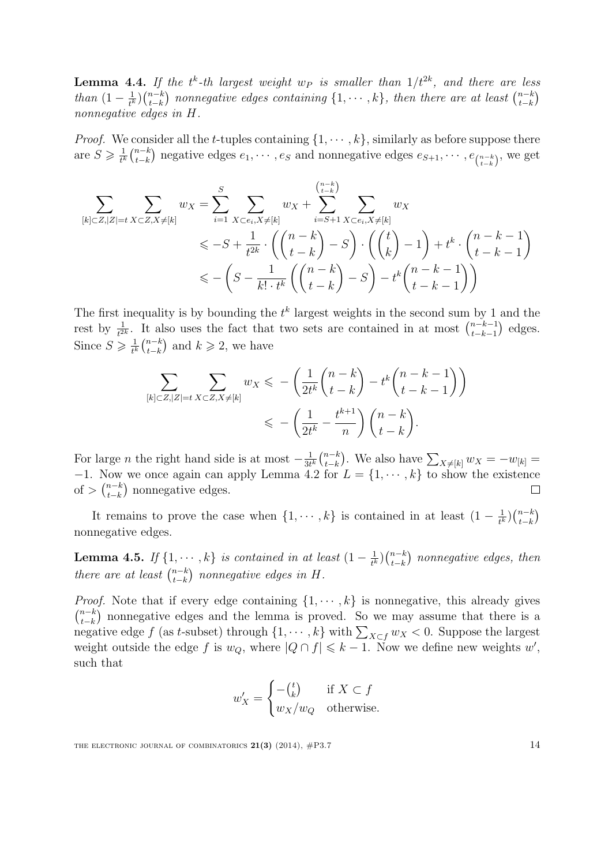**Lemma 4.4.** If the  $t^k$ -th largest weight  $w_P$  is smaller than  $1/t^{2k}$ , and there are less than  $(1-\frac{1}{t^k})$  $\frac{1}{t^k}\Big)\binom{n-k}{t-k}$  $_{t-k}^{n-k)}$  nonnegative edges containing  $\{1,\cdots,k\}$ , then there are at least  $\binom{n-k}{t-k}$  $_{t-k}^{n-k}$ nonnegative edges in H.

*Proof.* We consider all the t-tuples containing  $\{1, \dots, k\}$ , similarly as before suppose there are  $S \geqslant \frac{1}{t^k}$  $\frac{1}{t^k} \binom{n-k}{t-k}$  $\sum_{t-k}^{n-k}$ ) negative edges  $e_1, \cdots, e_S$  and nonnegative edges  $e_{S+1}, \cdots, e_{\binom{n-k}{t-k}}$ , we get

$$
\sum_{[k]\subset Z, |Z|=t} \sum_{X\subset Z, X\neq [k]} w_X = \sum_{i=1}^S \sum_{X\subset e_i, X\neq [k]} w_X + \sum_{i=S+1}^{\binom{n-k}{t-k}} \sum_{X\subset e_i, X\neq [k]} w_X \n\leq -S + \frac{1}{t^{2k}} \cdot \left( \binom{n-k}{t-k} - S \right) \cdot \left( \binom{t}{k} - 1 \right) + t^k \cdot \binom{n-k-1}{t-k-1} \n\leq -\left( S - \frac{1}{k! \cdot t^k} \left( \binom{n-k}{t-k} - S \right) - t^k \binom{n-k-1}{t-k-1} \right)
$$

The first inequality is by bounding the  $t^k$  largest weights in the second sum by 1 and the rest by  $\frac{1}{t^{2k}}$ . It also uses the fact that two sets are contained in at most  $\binom{n-k-1}{t-k-1}$  $_{t-k-1}^{n-k-1}$  edges. Since  $S \geqslant \frac{1}{t^k}$  $\frac{1}{t^k} \binom{n-k}{t-k}$  $_{t-k}^{n-k}$  and  $k \geq 2$ , we have

$$
\sum_{[k]\subset Z, |Z|=t} \sum_{X\subset Z, X\neq [k]} w_X \leqslant -\left(\frac{1}{2t^k} \binom{n-k}{t-k} - t^k \binom{n-k-1}{t-k-1}\right) \leqslant -\left(\frac{1}{2t^k} - \frac{t^{k+1}}{n}\right) \binom{n-k}{t-k}.
$$

For large *n* the right hand side is at most  $-\frac{1}{3t}$  $\frac{1}{3t^k} \binom{n-k}{t-k}$  $_{t-k}^{n-k}$ ). We also have  $\sum_{X\neq [k]} w_X = -w_{[k]} =$  $-1$ . Now we once again can apply Lemma [4.2](#page-11-1) for  $L = \{1, \dots, k\}$  to show the existence of  $\sum_{t=k}^{n-k}$  $_{t-k}^{n-k}$ ) nonnegative edges.  $\Box$ 

It remains to prove the case when  $\{1, \dots, k\}$  is contained in at least  $(1 - \frac{1}{k})$  $\frac{1}{t^k}\Big)\binom{n-k}{t-k}$  $_{t-k}^{n-k}$ nonnegative edges.

**Lemma 4.5.** If  $\{1, \dots, k\}$  is contained in at least  $(1 - \frac{1}{k})$  $\frac{1}{t^k}\Big)\binom{n-k}{t-k}$  $_{t-k}^{n-k}$ ) nonnegative edges, then there are at least  $\binom{n-k}{t-k}$  $_{t-k}^{n-k}$ ) nonnegative edges in H.

*Proof.* Note that if every edge containing  $\{1, \dots, k\}$  is nonnegative, this already gives  $\binom{n-k}{t-k}$  $_{t-k}^{n-k}$ ) nonnegative edges and the lemma is proved. So we may assume that there is a negative edge f (as t-subset) through  $\{1, \dots, k\}$  with  $\sum_{X \subset f} w_X < 0$ . Suppose the largest weight outside the edge f is  $w_Q$ , where  $|Q \cap f| \leq k-1$ . Now we define new weights w', such that

$$
w'_X = \begin{cases} -(\frac{t}{k}) & \text{if } X \subset f \\ w_X/w_Q & \text{otherwise.} \end{cases}
$$

THE ELECTRONIC JOURNAL OF COMBINATORICS  $21(3)$  (2014),  $\#P3.7$  14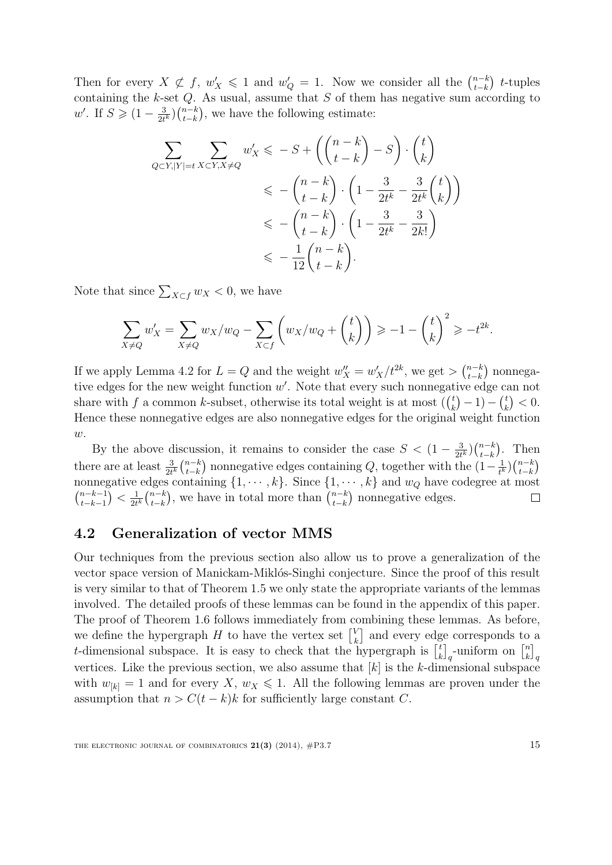Then for every  $X \not\subset f$ ,  $w'_X \leq 1$  and  $w'_Q = 1$ . Now we consider all the  $\binom{n-k}{t-k}$  $_{t-k}^{n-k}$  t-tuples containing the  $k$ -set  $Q$ . As usual, assume that  $S$  of them has negative sum according to w'. If  $S \geqslant (1 - \frac{3}{2t})$  $\frac{3}{2t^k}\Big)\binom{n-k}{t-k}$  $_{t-k}^{n-k}$ , we have the following estimate:

$$
\sum_{Q \subset Y, |Y| = t} \sum_{X \subset Y, X \neq Q} w'_X \leq -S + \left( \binom{n-k}{t-k} - S \right) \cdot \binom{t}{k}
$$
\n
$$
\leq -\binom{n-k}{t-k} \cdot \left( 1 - \frac{3}{2t^k} - \frac{3}{2t^k} \binom{t}{k} \right)
$$
\n
$$
\leq -\binom{n-k}{t-k} \cdot \left( 1 - \frac{3}{2t^k} - \frac{3}{2k!} \right)
$$
\n
$$
\leq -\frac{1}{12} \binom{n-k}{t-k}.
$$

Note that since  $\sum_{X \subset f} w_X < 0$ , we have

$$
\sum_{X \neq Q} w'_X = \sum_{X \neq Q} w_X/w_Q - \sum_{X \subset f} \left( w_X/w_Q + \binom{t}{k} \right) \ge -1 - \binom{t}{k}^2 \ge -t^{2k}.
$$

If we apply Lemma [4.2](#page-11-1) for  $L = Q$  and the weight  $w''_X = w'_X/t^{2k}$ , we get  $> \binom{n-k}{t-k}$  $_{t-k}^{n-k}$ ) nonnegative edges for the new weight function  $w'$ . Note that every such nonnegative edge can not share with f a common k-subset, otherwise its total weight is at most  $\binom{t}{k}$  $\binom{t}{k} - 1 - \binom{t}{k}$  $\binom{t}{k}<0.$ Hence these nonnegative edges are also nonnegative edges for the original weight function  $w$ .

By the above discussion, it remains to consider the case  $S < (1 - \frac{3}{24})$  $\frac{3}{2t^k}\Big)\binom{n-k}{t-k}$  $_{t-k}^{n-k}$ ). Then there are at least  $\frac{3}{2t^k} {n-k \choose t-k}$  $\frac{1}{t^k}\Big)\binom{n-k}{t-k}$  $_{t-k}^{n-k}$ ) nonnegative edges containing  $Q$ , together with the  $(1-\frac{1}{t^k})$  $_{t-k}^{n-k}$ nonnegative edges containing  $\{1, \dots, k\}$ . Since  $\{1, \dots, k\}$  and  $w_Q$  have codegree at most  $\binom{n-k-1}{k-1}$  $\frac{1}{2t^k}$  $\binom{n-k}{t-k}$  $_{t-k}^{n-k}$ ), we have in total more than  $\binom{n-k}{t-k}$  $_{t-k-1}^{n-k-1}$ ) <  $\frac{1}{2t}$  $_{t-k}^{n-k}$ ) nonnegative edges.  $\Box$ 

#### <span id="page-14-0"></span>4.2 Generalization of vector MMS

Our techniques from the previous section also allow us to prove a generalization of the vector space version of Manickam-Miklós-Singhi conjecture. Since the proof of this result is very similar to that of Theorem [1.5](#page-2-1) we only state the appropriate variants of the lemmas involved. The detailed proofs of these lemmas can be found in the appendix of this paper. The proof of Theorem [1.6](#page-2-2) follows immediately from combining these lemmas. As before, we define the hypergraph H to have the vertex set  $\begin{bmatrix} V_k \\ V_l \end{bmatrix}$  $\kappa$ <sup>V</sup> and every edge corresponds to a t-dimensional subspace. It is easy to check that the hypergraph is  $\begin{bmatrix} t \\ i \end{bmatrix}$  $\begin{bmatrix} t \\ k \end{bmatrix}_q$ -uniform on  $\begin{bmatrix} n \\ k \end{bmatrix}$  $\left[ n \atop k \right]_q$ vertices. Like the previous section, we also assume that  $[k]$  is the k-dimensional subspace with  $w_{[k]} = 1$  and for every  $X, w_X \leq 1$ . All the following lemmas are proven under the assumption that  $n > C(t - k)k$  for sufficiently large constant C.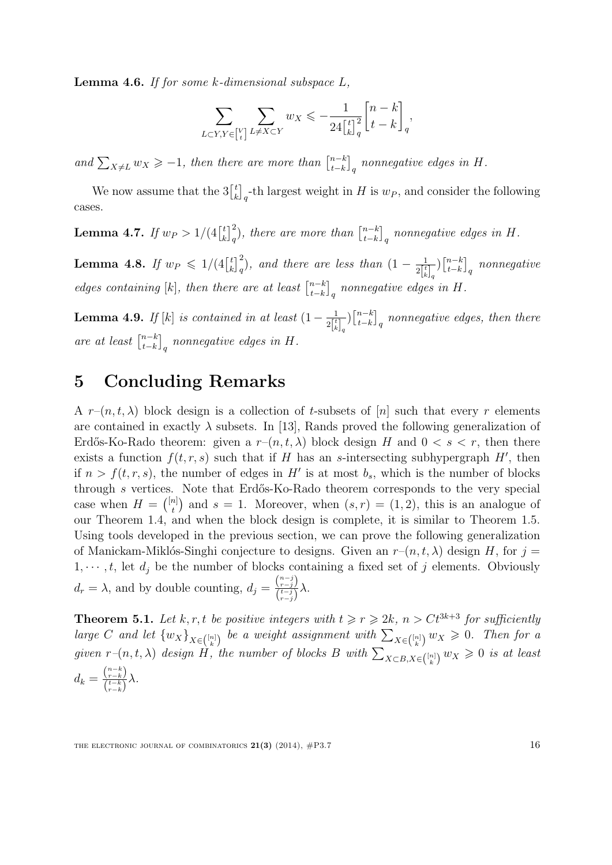<span id="page-15-0"></span>**Lemma 4.6.** If for some  $k$ -dimensional subspace  $L$ ,

$$
\sum_{L\subset Y,Y\in\binom{V}{t}}\sum_{L\neq X\subset Y}w_X\leqslant -\frac{1}{24\binom{t}{k}_q^2}\binom{n-k}{t-k}_q,
$$

and  $\sum_{X \neq L} w_X \geq -1$ , then there are more than  $\begin{bmatrix} n-k \\ t-k \end{bmatrix}$  $\left[^{n-k}_{t-k}\right]_q$  nonnegative edges in H.

We now assume that the  $3\begin{bmatrix} t \\ i \end{bmatrix}$  $\binom{t}{k}_q$ -th largest weight in H is  $w_P$ , and consider the following cases.

<span id="page-15-1"></span>**Lemma 4.7.** If  $w_P > 1/(4 \binom{t}{k}$  $\binom{t}{k}_q^2$ , there are more than  $\binom{n-k}{t-k}$  $\left[^{n-k}_{t-k}\right]_q$  nonnegative edges in  $H$ .

<span id="page-15-2"></span>**Lemma 4.8.** If  $w_P \le 1/(4 \binom{t}{k}$  $\binom{t}{k}_q^2$ , and there are less than  $\left(1-\frac{1}{2\binom{t}{k}}\right)$  $2\begin{bmatrix} t \ k \end{bmatrix}_q$  $\bigcap_{t=k}^{n-k}$  $_{t-k}^{n-k}\big]_q$  nonnegative edges containing [k], then there are at least  $\begin{bmatrix} n-k \\ t-k \end{bmatrix}$  $\left[^{n-k}_{t-k}\right]_q$  nonnegative edges in H.

<span id="page-15-3"></span>**Lemma 4.9.** If [k] is contained in at least  $(1 - \frac{1}{2^{t}})$  $2\begin{bmatrix} t \\ k \end{bmatrix}_q$  $\bigcap_{t=k}^{n-k}$  $\left[^{n-k}_{t-k}\right]_q$  nonnegative edges, then there are at least  $\begin{bmatrix} n-k \\ t-k \end{bmatrix}$  $\left[^{n-k}_{t-k}\right]_q$  nonnegative edges in H.

## 5 Concluding Remarks

A  $r-(n, t, \lambda)$  block design is a collection of t-subsets of [n] such that every r elements are contained in exactly  $\lambda$  subsets. In [\[13\]](#page-17-7), Rands proved the following generalization of Erdős-Ko-Rado theorem: given a  $r-(n, t, \lambda)$  block design H and  $0 < s < r$ , then there exists a function  $f(t, r, s)$  such that if H has an s-intersecting subhypergraph H', then if  $n > f(t, r, s)$ , the number of edges in H' is at most  $b_s$ , which is the number of blocks through  $s$  vertices. Note that Erdős-Ko-Rado theorem corresponds to the very special case when  $H = \binom{[n]}{t}$  $\binom{n}{t}$  and  $s = 1$ . Moreover, when  $(s, r) = (1, 2)$ , this is an analogue of our Theorem [1.4,](#page-2-0) and when the block design is complete, it is similar to Theorem [1.5.](#page-2-1) Using tools developed in the previous section, we can prove the following generalization of Manickam-Miklós-Singhi conjecture to designs. Given an  $r-(n, t, \lambda)$  design H, for  $j =$  $1, \dots, t$ , let  $d_i$  be the number of blocks containing a fixed set of j elements. Obviously  $d_r = \lambda$ , and by double counting,  $d_j = \frac{\binom{n-j}{r-j}}{\binom{t-j}{r-j}}$  $\frac{\binom{r-j}{t-j}}{\binom{t-j}{r-j}}\lambda.$ 

**Theorem 5.1.** Let k, r, t be positive integers with  $t \ge r \ge 2k$ ,  $n > Ct^{3k+3}$  for sufficiently large C and let  $\{w_X\}_{X \in \binom{[n]}{k}}$  be a weight assignment with  $\sum_{X \in \binom{[n]}{k}} w_X \geq 0$ . Then for a given  $r-(n, t, \lambda)$  design H, the number of blocks B with  $\sum_{X\subset B, X\in\binom{[n]}{k}} w_X \geq 0$  is at least  $d_k = \frac{\binom{n-k}{r-k}}{\binom{t-k}{r-k}}$  $\frac{\binom{r-k}{r-k}}{\binom{t-k}{r-k}}\lambda.$ 

THE ELECTRONIC JOURNAL OF COMBINATORICS  $21(3)$  (2014),  $\#P3.7$  16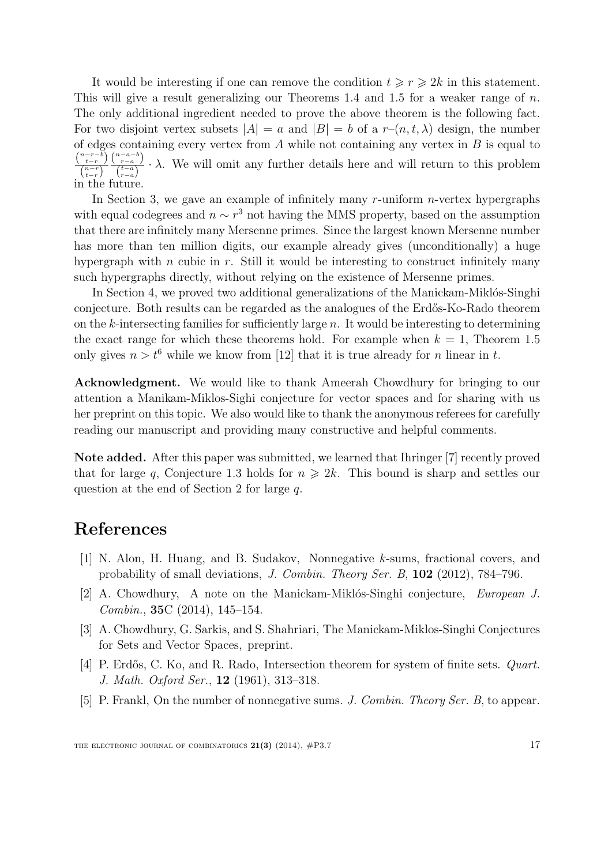It would be interesting if one can remove the condition  $t \geq r \geq 2k$  in this statement. This will give a result generalizing our Theorems [1.4](#page-2-0) and [1.5](#page-2-1) for a weaker range of  $n$ . The only additional ingredient needed to prove the above theorem is the following fact. For two disjoint vertex subsets  $|A| = a$  and  $|B| = b$  of a  $r-(n, t, \lambda)$  design, the number of edges containing every vertex from  $A$  while not containing any vertex in  $B$  is equal to  $\binom{n-r-b}{t-r}\,\binom{n-a-b}{r-a}$  $\binom{n-r}{t-r}$   $\binom{t-a}{r-a}$  $\cdot \lambda$ . We will omit any further details here and will return to this problem in the future.

In Section [3,](#page-7-0) we gave an example of infinitely many  $r$ -uniform  $n$ -vertex hypergraphs with equal codegrees and  $n \sim r^3$  not having the MMS property, based on the assumption that there are infinitely many Mersenne primes. Since the largest known Mersenne number has more than ten million digits, our example already gives (unconditionally) a huge hypergraph with  $n$  cubic in  $r$ . Still it would be interesting to construct infinitely many such hypergraphs directly, without relying on the existence of Mersenne primes.

In Section [4,](#page-10-0) we proved two additional generalizations of the Manickam-Miklós-Singhi conjecture. Both results can be regarded as the analogues of the Erdős-Ko-Rado theorem on the  $k$ -intersecting families for sufficiently large  $n$ . It would be interesting to determining the exact range for which these theorems hold. For example when  $k = 1$ , Theorem [1.5](#page-2-1) only gives  $n > t^6$  while we know from [\[12\]](#page-17-6) that it is true already for n linear in t.

Acknowledgment. We would like to thank Ameerah Chowdhury for bringing to our attention a Manikam-Miklos-Sighi conjecture for vector spaces and for sharing with us her preprint on this topic. We also would like to thank the anonymous referees for carefully reading our manuscript and providing many constructive and helpful comments.

Note added. After this paper was submitted, we learned that Ihringer [\[7\]](#page-17-8) recently proved that for large q, Conjecture [1.3](#page-1-1) holds for  $n \geq 2k$ . This bound is sharp and settles our question at the end of Section [2](#page-3-0) for large q.

## References

- <span id="page-16-1"></span>[1] N. Alon, H. Huang, and B. Sudakov, Nonnegative k-sums, fractional covers, and probability of small deviations, J. Combin. Theory Ser. B, 102 (2012), 784–796.
- [2] A. Chowdhury, A note on the Manickam-Miklós-Singhi conjecture, *European J.* Combin., 35C (2014), 145–154.
- <span id="page-16-3"></span>[3] A. Chowdhury, G. Sarkis, and S. Shahriari, The Manickam-Miklos-Singhi Conjectures for Sets and Vector Spaces, preprint.
- <span id="page-16-0"></span>[4] P. Erdős, C. Ko, and R. Rado, Intersection theorem for system of finite sets. *Quart*. J. Math. Oxford Ser., 12 (1961), 313–318.
- <span id="page-16-2"></span>[5] P. Frankl, On the number of nonnegative sums. J. Combin. Theory Ser. B, to appear.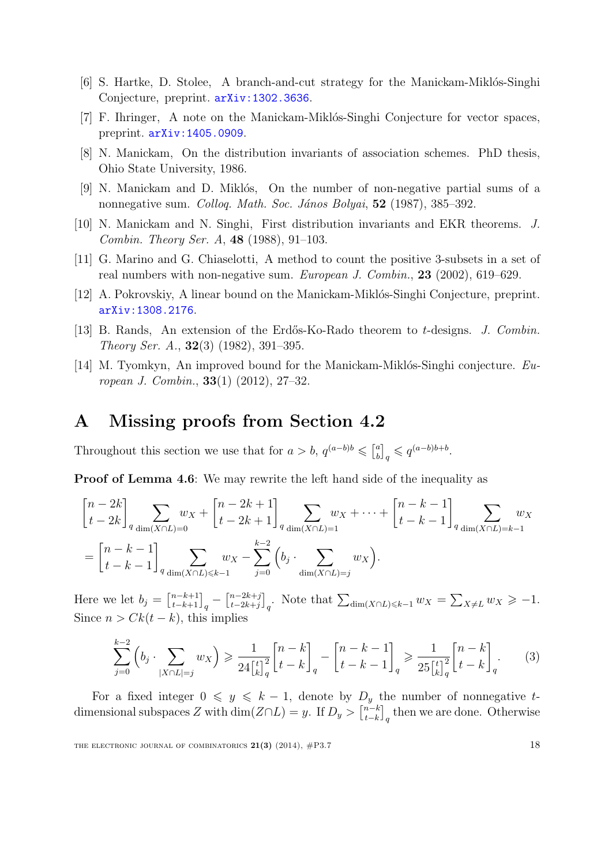- <span id="page-17-2"></span> $[6]$  S. Hartke, D. Stolee, A branch-and-cut strategy for the Manickam-Miklós-Singhi Conjecture, preprint. [arXiv:1302.3636](http://arxiv.org/abs/1302.3636).
- <span id="page-17-8"></span> $[7]$  F. Ihringer, A note on the Manickam-Miklós-Singhi Conjecture for vector spaces, preprint. [arXiv:1405.0909](http://arxiv.org/abs/1405.0909).
- <span id="page-17-3"></span>[8] N. Manickam, On the distribution invariants of association schemes. PhD thesis, Ohio State University, 1986.
- <span id="page-17-0"></span>[9] N. Manickam and D. Miklós, On the number of non-negative partial sums of a nonnegative sum. Colloq. Math. Soc. János Bolyai, 52 (1987), 385–392.
- <span id="page-17-1"></span>[10] N. Manickam and N. Singhi, First distribution invariants and EKR theorems. J. Combin. Theory Ser. A, 48 (1988), 91–103.
- <span id="page-17-4"></span>[11] G. Marino and G. Chiaselotti, A method to count the positive 3-subsets in a set of real numbers with non-negative sum. European J. Combin., 23 (2002), 619–629.
- <span id="page-17-6"></span>[12] A. Pokrovskiy, A linear bound on the Manickam-Miklós-Singhi Conjecture, preprint. [arXiv:1308.2176](http://arxiv.org/abs/1308.2176).
- <span id="page-17-7"></span>[13] B. Rands, An extension of the Erdős-Ko-Rado theorem to t-designs. J. Combin. Theory Ser. A.,  $32(3)$  (1982), 391–395.
- <span id="page-17-5"></span>[14] M. Tyomkyn, An improved bound for the Manickam-Miklós-Singhi conjecture.  $Eu$ ropean J. Combin., 33(1) (2012), 27–32.

## A Missing proofs from Section [4.2](#page-14-0)

Throughout this section we use that for  $a > b$ ,  $q^{(a-b)b} \leq \binom{a}{b}$  $\left[a\atop b\right]_q \leqslant q^{(a-b)b+b}.$ 

**Proof of Lemma [4.6](#page-15-0):** We may rewrite the left hand side of the inequality as

$$
\begin{aligned}\n\begin{bmatrix}\nn - 2k \\
t - 2k\n\end{bmatrix}_q \sum_{\dim(X \cap L) = 0} w_X + \begin{bmatrix}\nn - 2k + 1 \\
t - 2k + 1\n\end{bmatrix}_q \sum_{\dim(X \cap L) = 1} w_X + \dots + \begin{bmatrix}\nn - k - 1 \\
t - k - 1\n\end{bmatrix}_q \sum_{\dim(X \cap L) = k - 1} w_X \\
= \begin{bmatrix}\nn - k - 1 \\
t - k - 1\n\end{bmatrix}_q \sum_{\dim(X \cap L) \le k - 1} w_X - \sum_{j = 0}^{k - 2} \left(b_j \cdot \sum_{\dim(X \cap L) = j} w_X\right).\n\end{aligned}
$$

Here we let  $b_j = \begin{bmatrix} n-k+1 \ -k+1 \end{bmatrix}_q - \begin{bmatrix} n-2k+j \ -2k+j \end{bmatrix}$  $\left[\begin{array}{c} n^{-2k+j} \\ t^{-2k+j} \end{array}\right]_q$ . Note that  $\sum_{\dim(X \cap L) \leq k-1} w_X = \sum_{X \neq L} w_X \geq -1$ . Since  $n > Ck(t - k)$ , this implies

<span id="page-17-9"></span>
$$
\sum_{j=0}^{k-2} \left( b_j \cdot \sum_{|X \cap L|=j} w_X \right) \ge \frac{1}{24 \left[ \binom{k}{k} \right]_q} \left[ \binom{n-k}{t-k} \right]_q - \left[ \binom{n-k-1}{t-k-1} \right]_q \ge \frac{1}{25 \left[ \binom{t}{k} \right]_q} \left[ \binom{n-k}{t-k} \right]_q. \tag{3}
$$

For a fixed integer  $0 \leq y \leq k-1$ , denote by  $D_y$  the number of nonnegative tdimensional subspaces Z with  $\dim(Z \cap L) = y$ . If  $D_y > \binom{n-k}{k-k}$  $\left[t-k\atop t-k\right]_q$  then we are done. Otherwise

THE ELECTRONIC JOURNAL OF COMBINATORICS  $21(3)$  (2014),  $\#P3.7$  18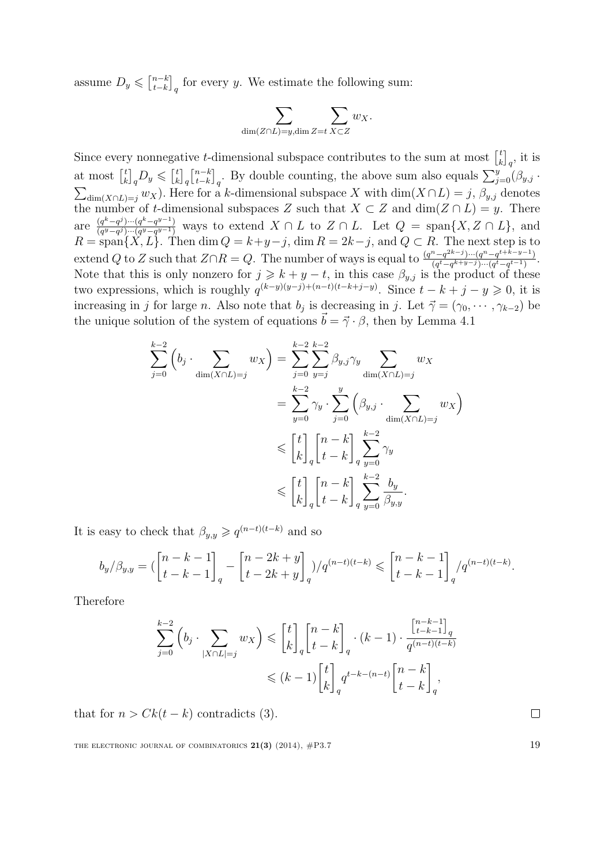assume  $D_y \leqslant \left[\begin{matrix} n-k \\ t-k \end{matrix}\right]$  $\left[t-k\atop t-k\right]_q$  for every y. We estimate the following sum:

$$
\sum_{\dim(Z \cap L)=y, \dim Z=t} \sum_{X \subset Z} w_X.
$$

Since every nonnegative *t*-dimensional subspace contributes to the sum at most  $\begin{bmatrix} t \\ t \end{bmatrix}$  $\left[ \begin{smallmatrix} t \ k \end{smallmatrix} \right]_q$ , it is at most  $\begin{bmatrix} t \\ u \end{bmatrix}$  $\binom{t}{k}_q D_y \leqslant \binom{t}{k}$  $\binom{t}{k}_q \binom{n-k}{t-k}$  $\left[\begin{smallmatrix} n-k \ -k \end{smallmatrix}\right]_q$ . By double counting, the above sum also equals  $\sum_{j=0}^y (\beta_{y,j} \cdot$  $\sum_{\dim(X\cap L)=j} w_X$ ). Here for a k-dimensional subspace X with  $\dim(X\cap L)=j$ ,  $\beta_{y,j}$  denotes the number of t-dimensional subspaces Z such that  $X \subset Z$  and  $\dim(Z \cap L) = y$ . There are  $\frac{(q^k-q^j)\cdots(q^k-q^{y-1})}{(q^y-q^j)\cdots(q^y-q^{y-1})}$  $\frac{(q^w-q^y)\cdots(q^w-q^{y-1})}{(q^y-q^y)\cdots(q^y-q^{y-1})}$  ways to extend  $X\cap L$  to  $Z\cap L$ . Let  $Q = \text{span}\{X, Z\cap L\}$ , and  $R = \text{span}\{X, L\}.$  Then  $\dim Q = k + y - j$ ,  $\dim R = 2k - j$ , and  $Q \subset R$ . The next step is to extend Q to Z such that  $Z \cap R = Q$ . The number of ways is equal to  $\frac{(q^n - q^{2k-j}) \cdots (q^n - q^{t+k-y-1})}{(q^t - q^{k+y-1}) \cdots (q^t - q^{t-1})}$  $\frac{(q^t-q^{k+y}-j)\cdots(q^u-q^{v+n-y-1})}{(q^t-q^{k+y}-j)\cdots(q^t-q^{t-1})}.$ Note that this is only nonzero for  $j \geq k + y - t$ , in this case  $\beta_{y,j}$  is the product of these two expressions, which is roughly  $q^{(k-y)(y-j)+(n-t)(t-k+j-y)}$ . Since  $t-k+j-y \geqslant 0$ , it is increasing in j for large n. Also note that  $b_j$  is decreasing in j. Let  $\vec{\gamma} = (\gamma_0, \cdots, \gamma_{k-2})$  be the unique solution of the system of equations  $\vec{b} = \vec{\gamma} \cdot \beta$ , then by Lemma [4.1](#page-10-1)

$$
\sum_{j=0}^{k-2} \left( b_j \cdot \sum_{\dim(X \cap L)=j} w_X \right) = \sum_{j=0}^{k-2} \sum_{y=j}^{k-2} \beta_{y,j} \gamma_y \sum_{\dim(X \cap L)=j} w_X
$$

$$
= \sum_{y=0}^{k-2} \gamma_y \cdot \sum_{j=0}^y \left( \beta_{y,j} \cdot \sum_{\dim(X \cap L)=j} w_X \right)
$$

$$
\leq \begin{bmatrix} t \\ k \end{bmatrix}_q \begin{bmatrix} n-k \\ t-k \end{bmatrix}_q \sum_{y=0}^{k-2} \gamma_y
$$

$$
\leq \begin{bmatrix} t \\ k \end{bmatrix}_q \begin{bmatrix} n-k \\ t-k \end{bmatrix}_q \sum_{y=0}^{k-2} \frac{b_y}{\beta_{y,y}}.
$$

It is easy to check that  $\beta_{y,y} \geqslant q^{(n-t)(t-k)}$  and so

$$
b_y/\beta_{y,y} = \left(\begin{bmatrix} n-k-1 \\ t-k-1 \end{bmatrix}_q - \begin{bmatrix} n-2k+y \\ t-2k+y \end{bmatrix}_q\right)/q^{(n-t)(t-k)} \leq \begin{bmatrix} n-k-1 \\ t-k-1 \end{bmatrix}_q/q^{(n-t)(t-k)}.
$$

Therefore

$$
\sum_{j=0}^{k-2} \left( b_j \cdot \sum_{|X \cap L|=j} w_X \right) \leq \begin{bmatrix} t \\ k \end{bmatrix}_q \begin{bmatrix} n-k \\ t-k \end{bmatrix}_q \cdot (k-1) \cdot \frac{\begin{bmatrix} n-k-1 \\ t-k-1 \end{bmatrix}_q}{q^{(n-t)(t-k)}} \leq (k-1) \begin{bmatrix} t \\ k \end{bmatrix}_q q^{t-k-(n-t)} \begin{bmatrix} n-k \\ t-k \end{bmatrix}_q,
$$

that for  $n > Ck(t - k)$  contradicts [\(3\)](#page-17-9).

THE ELECTRONIC JOURNAL OF COMBINATORICS  $21(3)$  (2014),  $\#P3.7$  19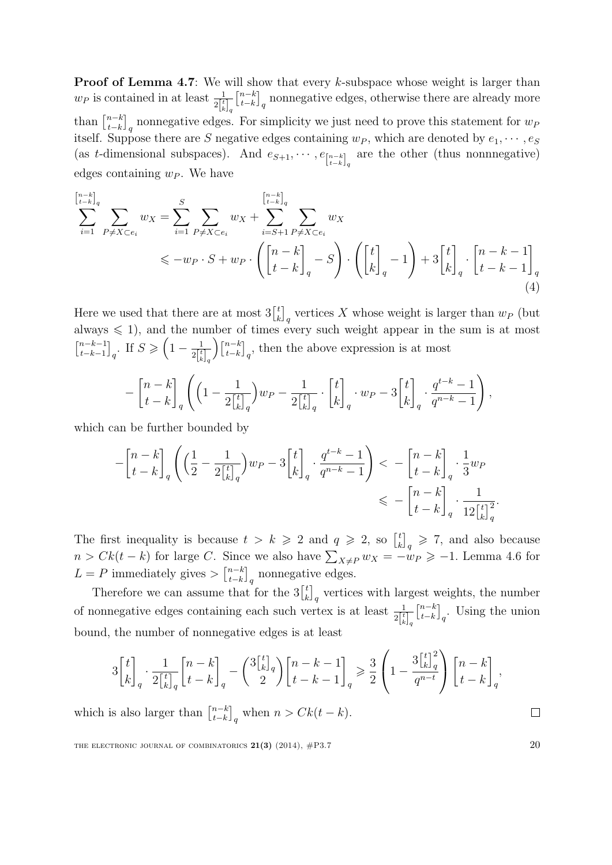**Proof of Lemma [4.7](#page-15-1)**: We will show that every k-subspace whose weight is larger than  $w_P$  is contained in at least  $\frac{1}{2\begin{bmatrix} t \\ k \end{bmatrix}_q}$  $\begin{bmatrix} n-k \\ 1 \end{bmatrix}$  $\left\{t-k \atop t-k \right\}_q$  nonnegative edges, otherwise there are already more than  $\left[ \begin{matrix} n-k \\ t-k \end{matrix} \right]$  $\left\{t-k \atop t-k \right\}_q$  nonnegative edges. For simplicity we just need to prove this statement for  $w_P$ itself. Suppose there are S negative edges containing  $w_P$ , which are denoted by  $e_1, \dots, e_S$ (as t-dimensional subspaces). And  $e_{S+1}, \dots, e_{n-k}$  are the other (thus nonnnegative) edges containing  $w_P$ . We have

$$
\sum_{i=1}^{\left[n-k\right]_q} \sum_{P \neq X \subset e_i} w_X = \sum_{i=1}^S \sum_{P \neq X \subset e_i} w_X + \sum_{i=S+1}^{\left[n-k\right]_q} \sum_{P \neq X \subset e_i} w_X \n\leq -w_P \cdot S + w_P \cdot \left( \begin{bmatrix} n-k \\ t-k \end{bmatrix}_q - S \right) \cdot \left( \begin{bmatrix} t \\ k \end{bmatrix}_q - 1 \right) + 3 \begin{bmatrix} t \\ k \end{bmatrix}_q \cdot \begin{bmatrix} n-k-1 \\ t-k-1 \end{bmatrix}_q
$$
\n(4)

Here we used that there are at most  $3\begin{bmatrix} t \\ t \end{bmatrix}$  $\binom{t}{k}_q$  vertices X whose weight is larger than  $w_P$  (but always  $\leq 1$ , and the number of times every such weight appear in the sum is at most  $\begin{bmatrix} n-k-1 \\ t & h-1 \end{bmatrix}$  $_{t-k-1}^{n-k-1}$ <sub>q</sub>. If  $S \geqslant \left(1 - \frac{1}{2\lceil \frac{t}{k} \rceil}\right)$  $\overline{2\bigl[ \begin{smallmatrix} t \ k \end{smallmatrix} \bigr]}_q$  $\bigcap_{k}$  $\binom{n-k}{t-k}_q$ , then the above expression is at most

$$
-\begin{bmatrix}n-k\\t-k\end{bmatrix}_q\left(\left(1-\frac{1}{2\begin{bmatrix}t\\k\end{bmatrix}_q}\right)w_P-\frac{1}{2\begin{bmatrix}t\\k\end{bmatrix}_q}\cdot\begin{bmatrix}t\\k\end{bmatrix}_q\cdot w_P-3\begin{bmatrix}t\\k\end{bmatrix}_q\cdot\frac{q^{t-k}-1}{q^{n-k}-1}\right),
$$

which can be further bounded by

$$
-\begin{bmatrix} n-k \\ t-k \end{bmatrix}_q \left( \left( \frac{1}{2} - \frac{1}{2\begin{bmatrix} t \\ k \end{bmatrix}_q} \right) w_P - 3 \begin{bmatrix} t \\ k \end{bmatrix}_q \cdot \frac{q^{t-k}-1}{q^{n-k}-1} \right) < -\begin{bmatrix} n-k \\ t-k \end{bmatrix}_q \cdot \frac{1}{3} w_P
$$
  

$$
\leq -\begin{bmatrix} n-k \\ t-k \end{bmatrix}_q \cdot \frac{1}{12\begin{bmatrix} t \\ k \end{bmatrix}_q^2}.
$$

The first inequality is because  $t > k \geq 2$  and  $q \geq 2$ , so  $\begin{bmatrix} t \\ i \end{bmatrix}$  $\binom{t}{k}_q \geqslant 7$ , and also because  $n > Ck(t - k)$  for large C. Since we also have  $\sum_{X \neq P} w_X = -w_P \geq -1$ . Lemma [4.6](#page-15-0) for  $L = P$  immediately gives  $\sum_{k=1}^{n-k}$  $\left[\begin{matrix} n-k \\ t-k \end{matrix}\right]_q$  nonnegative edges.

Therefore we can assume that for the  $3\begin{bmatrix} t \\ i \end{bmatrix}$  $\binom{t}{k}_q$  vertices with largest weights, the number of nonnegative edges containing each such vertex is at least  $\frac{1}{2\begin{bmatrix} t \\ k \end{bmatrix}_q}$  $\begin{bmatrix} n-k \\ 1 \end{bmatrix}$  $_{t-k}^{n-k}$ <sub>q</sub>. Using the union bound, the number of nonnegative edges is at least

$$
3\begin{bmatrix}t\\k\end{bmatrix}_q \cdot \frac{1}{2\begin{bmatrix}t\\k\end{bmatrix}_q} \begin{bmatrix}n-k\\t-k\end{bmatrix}_q - \binom{3\begin{bmatrix}t\\k\end{bmatrix}_q}{2} \begin{bmatrix}n-k-1\\t-k-1\end{bmatrix}_q \geq \frac{3}{2} \left(1 - \frac{3\begin{bmatrix}t\\k\end{bmatrix}_q^2}{q^{n-t}}\right) \begin{bmatrix}n-k\\t-k\end{bmatrix}_q,
$$

which is also larger than  $\begin{bmatrix} n-k \\ t-k \end{bmatrix}$  $_{t-k}^{n-k}$ <sub>q</sub> when  $n > Ck(t - k)$ .

THE ELECTRONIC JOURNAL OF COMBINATORICS  $21(3)$  (2014),  $\#P3.7$  20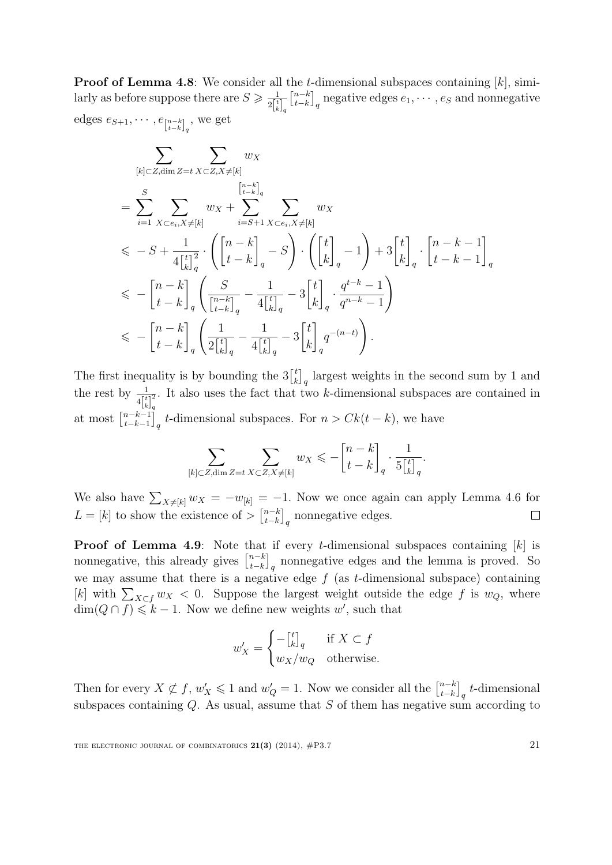**Proof of Lemma [4.8](#page-15-2):** We consider all the t-dimensional subspaces containing  $[k]$ , similarly as before suppose there are  $S \geq \frac{1}{2^{\lceil t \rceil}}$  $2\begin{bmatrix} t \ k \end{bmatrix}_q$  $\begin{bmatrix} n-k \\ 1 \end{bmatrix}$  $\left\{ \begin{matrix} n-k \ -k \end{matrix} \right\}_q$  negative edges  $e_1, \cdots, e_S$  and nonnegative edges  $e_{S+1}, \cdots, e_{\lfloor n-k \rfloor_q}$ , we get

$$
\sum_{[k]\subset Z, \dim Z=t} \sum_{X\subset Z, X\neq [k]} w_X
$$
\n
$$
= \sum_{i=1}^{S} \sum_{X\subset e_i, X\neq [k]} w_X + \sum_{i=S+1}^{\binom{n-k}{t-k}_q} \sum_{X\subset e_i, X\neq [k]} w_X
$$
\n
$$
\leqslant -S + \frac{1}{4\left[\begin{matrix} t \\ k \end{matrix}\right]_q} \cdot \left( \left[\begin{matrix} n-k \\ t-k \end{matrix}\right]_q - S \right) \cdot \left( \left[\begin{matrix} t \\ k \end{matrix}\right]_q - 1 \right) + 3\left[\begin{matrix} t \\ k \end{matrix}\right]_q \cdot \left[\begin{matrix} n-k-1 \\ t-k-1 \end{matrix}\right]_q
$$
\n
$$
\leqslant -\left[\begin{matrix} n-k \\ t-k \end{matrix}\right]_q \left( \frac{S}{\left[\begin{matrix} n-k \\ t-k \end{matrix}\right]_q} - \frac{1}{4\left[\begin{matrix} t \\ k \end{matrix}\right]_q} - 3\left[\begin{matrix} t \\ k \end{matrix}\right]_q \cdot \frac{q^{t-k}-1}{q^{n-k}-1} \right)
$$
\n
$$
\leqslant -\left[\begin{matrix} n-k \\ t-k \end{matrix}\right]_q \left( \frac{1}{2\left[\begin{matrix} t \\ k \end{matrix}\right]_q} - \frac{1}{4\left[\begin{matrix} t \\ k \end{matrix}\right]_q} - 3\left[\begin{matrix} t \\ k \end{matrix}\right]_q q^{-(n-t)} \right).
$$

The first inequality is by bounding the  $3\binom{t}{k}$  $\binom{t}{k}_q$  largest weights in the second sum by 1 and the rest by  $\frac{1}{\sqrt{t}}$  $4\begin{bmatrix} t \\ k \end{bmatrix}_q^2$ q . It also uses the fact that two k-dimensional subspaces are contained in at most  $\begin{bmatrix} n-k-1 \\ t-k-1 \end{bmatrix}$  $\left[t-k-1\atop t-k-1\right]_q$  t-dimensional subspaces. For  $n > Ck(t-k)$ , we have

$$
\sum_{[k]\subset Z, \dim Z=t} \sum_{X\subset Z, X\neq [k]} w_X \leqslant -\begin{bmatrix} n-k \\ t-k \end{bmatrix}_q \cdot \frac{1}{5\begin{bmatrix} t \\ k \end{bmatrix}_q}.
$$

We also have  $\sum_{X\neq [k]} w_X = -w_{[k]} = -1$ . Now we once again can apply Lemma [4.6](#page-15-0) for  $L = [k]$  to show the existence of  $> \binom{n-k}{k-k}$  $_{t-k}^{n-k}$ <sub>q</sub> nonnegative edges.  $\Box$ 

**Proof of Lemma [4.9](#page-15-3)**: Note that if every t-dimensional subspaces containing  $[k]$  is nonnegative, this already gives  $\begin{bmatrix} n-k \\ t-k \end{bmatrix}$  $\left[t-k\atop t-k\right]_q$  nonnegative edges and the lemma is proved. So we may assume that there is a negative edge  $f$  (as  $t$ -dimensional subspace) containing [k] with  $\sum_{X \subset f} w_X < 0$ . Suppose the largest weight outside the edge f is  $w_Q$ , where  $\dim(Q \cap f) \leq k - 1$ . Now we define new weights w', such that

$$
w'_X = \begin{cases} -\begin{bmatrix} t \\ k \end{bmatrix}_q & \text{if } X \subset f \\ w_X/w_Q & \text{otherwise.} \end{cases}
$$

Then for every  $X \not\subset f$ ,  $w'_X \leq 1$  and  $w'_Q = 1$ . Now we consider all the  $\begin{bmatrix} n-k \\ t-k \end{bmatrix}$  $_{t-k}^{n-k}$ <sub>q</sub> t-dimensional subspaces containing  $Q$ . As usual, assume that  $S$  of them has negative sum according to